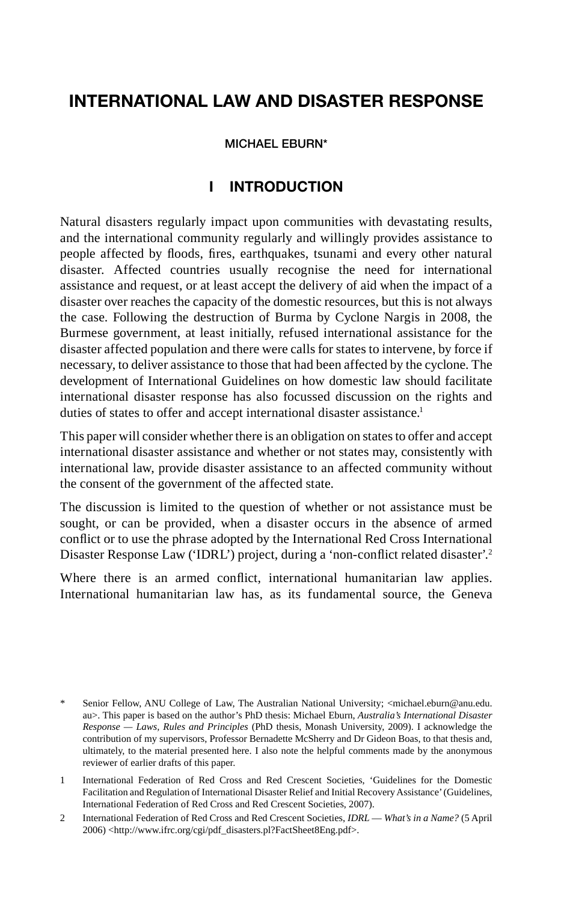# **INTERNATIONAL LAW AND DISASTER RESPONSE**

#### **MICHAEL EBURN\***

#### **I INTRODUCTION**

Natural disasters regularly impact upon communities with devastating results, and the international community regularly and willingly provides assistance to people affected by floods, fires, earthquakes, tsunami and every other natural disaster. Affected countries usually recognise the need for international assistance and request, or at least accept the delivery of aid when the impact of a disaster over reaches the capacity of the domestic resources, but this is not always the case. Following the destruction of Burma by Cyclone Nargis in 2008, the Burmese government, at least initially, refused international assistance for the disaster affected population and there were calls for states to intervene, by force if necessary, to deliver assistance to those that had been affected by the cyclone. The development of International Guidelines on how domestic law should facilitate international disaster response has also focussed discussion on the rights and duties of states to offer and accept international disaster assistance.<sup>1</sup>

This paper will consider whether there is an obligation on states to offer and accept international disaster assistance and whether or not states may, consistently with international law, provide disaster assistance to an affected community without the consent of the government of the affected state.

The discussion is limited to the question of whether or not assistance must be sought, or can be provided, when a disaster occurs in the absence of armed conflict or to use the phrase adopted by the International Red Cross International Disaster Response Law ('IDRL') project, during a 'non-conflict related disaster'.<sup>2</sup>

Where there is an armed conflict, international humanitarian law applies. International humanitarian law has, as its fundamental source, the Geneva

Senior Fellow, ANU College of Law, The Australian National University; <michael.eburn@anu.edu. au>. This paper is based on the author's PhD thesis: Michael Eburn, *Australia's International Disaster Response — Laws, Rules and Principles* (PhD thesis, Monash University, 2009). I acknowledge the contribution of my supervisors, Professor Bernadette McSherry and Dr Gideon Boas, to that thesis and, ultimately, to the material presented here. I also note the helpful comments made by the anonymous reviewer of earlier drafts of this paper.

<sup>1</sup> International Federation of Red Cross and Red Crescent Societies, 'Guidelines for the Domestic Facilitation and Regulation of International Disaster Relief and Initial Recovery Assistance' (Guidelines, International Federation of Red Cross and Red Crescent Societies, 2007).

<sup>2</sup> International Federation of Red Cross and Red Crescent Societies, *IDRL* — *What's in a Name?* (5 April 2006) <http://www.ifrc.org/cgi/pdf\_disasters.pl?FactSheet8Eng.pdf>.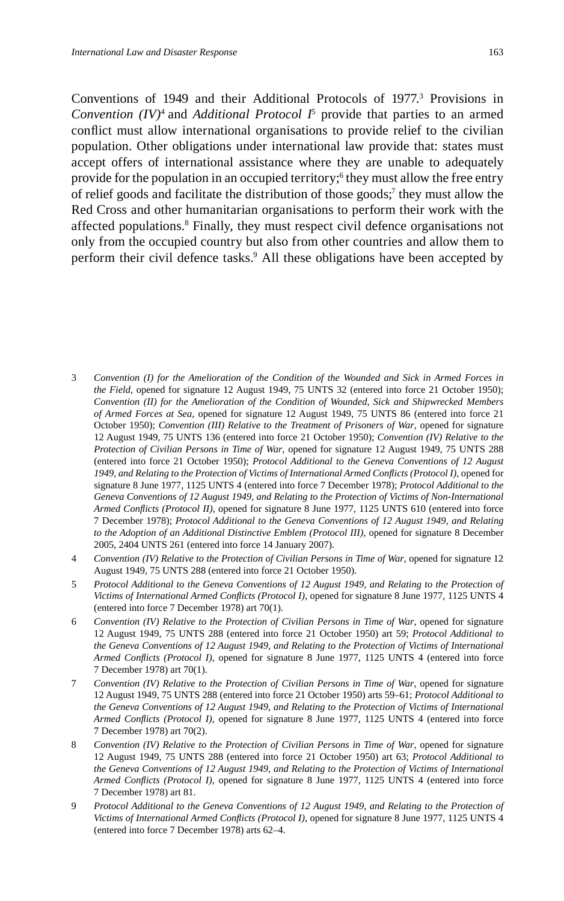Conventions of 1949 and their Additional Protocols of 1977.<sup>3</sup> Provisions in Convention  $(IV)^4$  and *Additional Protocol*  $I^5$  provide that parties to an armed conflict must allow international organisations to provide relief to the civilian population. Other obligations under international law provide that: states must accept offers of international assistance where they are unable to adequately provide for the population in an occupied territory;<sup>6</sup> they must allow the free entry of relief goods and facilitate the distribution of those goods;<sup>7</sup> they must allow the Red Cross and other humanitarian organisations to perform their work with the affected populations.<sup>8</sup> Finally, they must respect civil defence organisations not only from the occupied country but also from other countries and allow them to perform their civil defence tasks.<sup>9</sup> All these obligations have been accepted by

- 3 *Convention (I) for the Amelioration of the Condition of the Wounded and Sick in Armed Forces in the Field*, opened for signature 12 August 1949, 75 UNTS 32 (entered into force 21 October 1950); *Convention (II) for the Amelioration of the Condition of Wounded, Sick and Shipwrecked Members of Armed Forces at Sea*, opened for signature 12 August 1949, 75 UNTS 86 (entered into force 21 October 1950); *Convention (III) Relative to the Treatment of Prisoners of War*, opened for signature 12 August 1949, 75 UNTS 136 (entered into force 21 October 1950); *Convention (IV) Relative to the Protection of Civilian Persons in Time of War*, opened for signature 12 August 1949, 75 UNTS 288 (entered into force 21 October 1950); *Protocol Additional to the Geneva Conventions of 12 August*  1949, and Relating to the Protection of Victims of International Armed Conflicts (Protocol I), opened for signature 8 June 1977, 1125 UNTS 4 (entered into force 7 December 1978); *Protocol Additional to the Geneva Conventions of 12 August 1949, and Relating to the Protection of Victims of Non-International Armed Confl icts (Protocol II)*, opened for signature 8 June 1977, 1125 UNTS 610 (entered into force 7 December 1978); *Protocol Additional to the Geneva Conventions of 12 August 1949, and Relating to the Adoption of an Additional Distinctive Emblem (Protocol III)*, opened for signature 8 December 2005, 2404 UNTS 261 (entered into force 14 January 2007).
- 4 *Convention (IV) Relative to the Protection of Civilian Persons in Time of War*, opened for signature 12 August 1949, 75 UNTS 288 (entered into force 21 October 1950).
- 5 *Protocol Additional to the Geneva Conventions of 12 August 1949, and Relating to the Protection of Victims of International Armed Confl icts (Protocol I)*, opened for signature 8 June 1977, 1125 UNTS 4 (entered into force 7 December 1978) art 70(1).
- 6 *Convention (IV) Relative to the Protection of Civilian Persons in Time of War*, opened for signature 12 August 1949, 75 UNTS 288 (entered into force 21 October 1950) art 59; *Protocol Additional to the Geneva Conventions of 12 August 1949, and Relating to the Protection of Victims of International Armed Confl icts (Protocol I)*, opened for signature 8 June 1977, 1125 UNTS 4 (entered into force 7 December 1978) art 70(1).
- 7 *Convention (IV) Relative to the Protection of Civilian Persons in Time of War*, opened for signature 12 August 1949, 75 UNTS 288 (entered into force 21 October 1950) arts 59–61; *Protocol Additional to the Geneva Conventions of 12 August 1949, and Relating to the Protection of Victims of International Armed Confl icts (Protocol I)*, opened for signature 8 June 1977, 1125 UNTS 4 (entered into force 7 December 1978) art 70(2).
- 8 *Convention (IV) Relative to the Protection of Civilian Persons in Time of War*, opened for signature 12 August 1949, 75 UNTS 288 (entered into force 21 October 1950) art 63; *Protocol Additional to the Geneva Conventions of 12 August 1949, and Relating to the Protection of Victims of International Armed Conflicts (Protocol I)*, opened for signature 8 June 1977, 1125 UNTS 4 (entered into force 7 December 1978) art 81.
- 9 *Protocol Additional to the Geneva Conventions of 12 August 1949, and Relating to the Protection of Victims of International Armed Confl icts (Protocol I)*, opened for signature 8 June 1977, 1125 UNTS 4 (entered into force 7 December 1978) arts 62–4.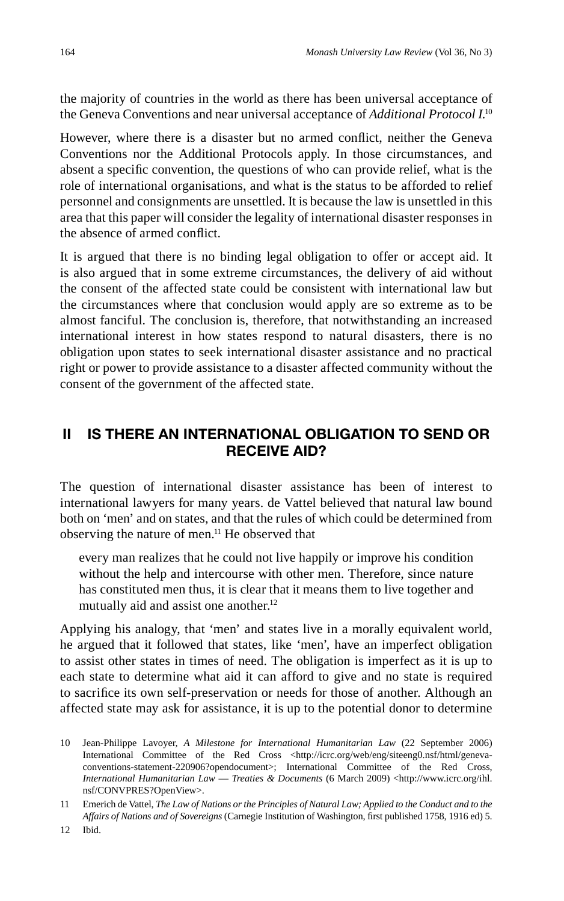the majority of countries in the world as there has been universal acceptance of the Geneva Conventions and near universal acceptance of *Additional Protocol I*. 10

However, where there is a disaster but no armed conflict, neither the Geneva Conventions nor the Additional Protocols apply. In those circumstances, and absent a specific convention, the questions of who can provide relief, what is the role of international organisations, and what is the status to be afforded to relief personnel and consignments are unsettled. It is because the law is unsettled in this area that this paper will consider the legality of international disaster responses in the absence of armed conflict.

It is argued that there is no binding legal obligation to offer or accept aid. It is also argued that in some extreme circumstances, the delivery of aid without the consent of the affected state could be consistent with international law but the circumstances where that conclusion would apply are so extreme as to be almost fanciful. The conclusion is, therefore, that notwithstanding an increased international interest in how states respond to natural disasters, there is no obligation upon states to seek international disaster assistance and no practical right or power to provide assistance to a disaster affected community without the consent of the government of the affected state.

# **II IS THERE AN INTERNATIONAL OBLIGATION TO SEND OR RECEIVE AID?**

The question of international disaster assistance has been of interest to international lawyers for many years. de Vattel believed that natural law bound both on 'men' and on states, and that the rules of which could be determined from observing the nature of men.11 He observed that

every man realizes that he could not live happily or improve his condition without the help and intercourse with other men. Therefore, since nature has constituted men thus, it is clear that it means them to live together and mutually aid and assist one another.<sup>12</sup>

Applying his analogy, that 'men' and states live in a morally equivalent world, he argued that it followed that states, like 'men', have an imperfect obligation to assist other states in times of need. The obligation is imperfect as it is up to each state to determine what aid it can afford to give and no state is required to sacrifice its own self-preservation or needs for those of another. Although an affected state may ask for assistance, it is up to the potential donor to determine

<sup>10</sup> Jean-Philippe Lavoyer, *A Milestone for International Humanitarian Law* (22 September 2006) International Committee of the Red Cross <http://icrc.org/web/eng/siteeng0.nsf/html/genevaconventions-statement-220906?opendocument>; International Committee of the Red Cross, *International Humanitarian Law* — *Treaties & Documents* (6 March 2009) <http://www.icrc.org/ihl. nsf/CONVPRES?OpenView>.

<sup>11</sup> Emerich de Vattel, *The Law of Nations or the Principles of Natural Law; Applied to the Conduct and to the*  Affairs of Nations and of Sovereigns (Carnegie Institution of Washington, first published 1758, 1916 ed) 5.

<sup>12</sup> Ibid.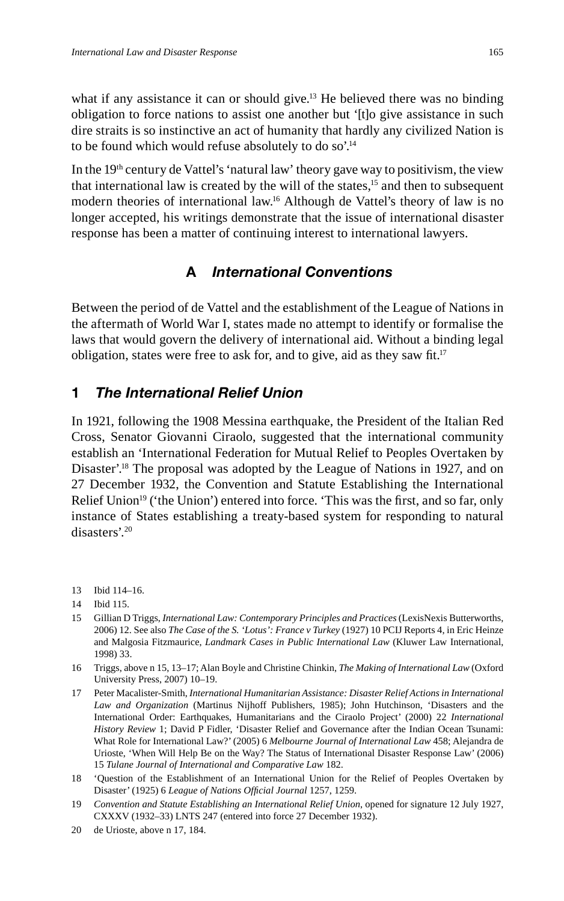what if any assistance it can or should give.<sup>13</sup> He believed there was no binding obligation to force nations to assist one another but '[t]o give assistance in such dire straits is so instinctive an act of humanity that hardly any civilized Nation is to be found which would refuse absolutely to do so'.14

In the  $19<sup>th</sup>$  century de Vattel's 'natural law' theory gave way to positivism, the view that international law is created by the will of the states.<sup>15</sup> and then to subsequent modern theories of international law.16 Although de Vattel's theory of law is no longer accepted, his writings demonstrate that the issue of international disaster response has been a matter of continuing interest to international lawyers.

#### **A** *International Conventions*

Between the period of de Vattel and the establishment of the League of Nations in the aftermath of World War I, states made no attempt to identify or formalise the laws that would govern the delivery of international aid. Without a binding legal obligation, states were free to ask for, and to give, aid as they saw fit.<sup>17</sup>

#### **1** *The International Relief Union*

In 1921, following the 1908 Messina earthquake, the President of the Italian Red Cross, Senator Giovanni Ciraolo, suggested that the international community establish an 'International Federation for Mutual Relief to Peoples Overtaken by Disaster'.<sup>18</sup> The proposal was adopted by the League of Nations in 1927, and on 27 December 1932, the Convention and Statute Establishing the International Relief Union<sup>19</sup> ('the Union') entered into force. 'This was the first, and so far, only instance of States establishing a treaty-based system for responding to natural disasters'.20

- 13 Ibid 114–16.
- 14 Ibid 115.
- 15 Gillian D Triggs, *International Law: Contemporary Principles and Practices* (LexisNexis Butterworths, 2006) 12. See also *The Case of the S. 'Lotus': France v Turkey* (1927) 10 PCIJ Reports 4, in Eric Heinze and Malgosia Fitzmaurice, *Landmark Cases in Public International Law* (Kluwer Law International, 1998) 33.
- 16 Triggs, above n 15, 13–17; Alan Boyle and Christine Chinkin, *The Making of International Law* (Oxford University Press, 2007) 10–19.
- 17 Peter Macalister-Smith, *International Humanitarian Assistance: Disaster Relief Actions in International Law and Organization* (Martinus Nijhoff Publishers, 1985); John Hutchinson, 'Disasters and the International Order: Earthquakes, Humanitarians and the Ciraolo Project' (2000) 22 *International History Review* 1; David P Fidler, 'Disaster Relief and Governance after the Indian Ocean Tsunami: What Role for International Law?' (2005) 6 *Melbourne Journal of International Law* 458; Alejandra de Urioste, 'When Will Help Be on the Way? The Status of International Disaster Response Law' (2006) 15 *Tulane Journal of International and Comparative Law* 182.
- 18 'Question of the Establishment of an International Union for the Relief of Peoples Overtaken by Disaster' (1925) 6 League of Nations Official Journal 1257, 1259.
- 19 *Convention and Statute Establishing an International Relief Union*, opened for signature 12 July 1927, CXXXV (1932–33) LNTS 247 (entered into force 27 December 1932).
- 20 de Urioste, above n 17, 184.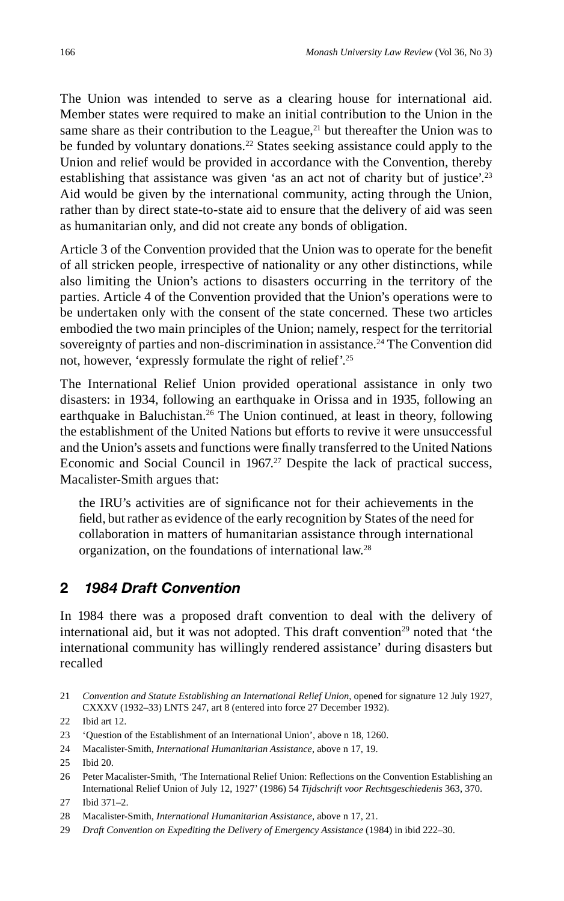The Union was intended to serve as a clearing house for international aid. Member states were required to make an initial contribution to the Union in the same share as their contribution to the League, $^{21}$  but thereafter the Union was to be funded by voluntary donations.<sup>22</sup> States seeking assistance could apply to the Union and relief would be provided in accordance with the Convention, thereby establishing that assistance was given 'as an act not of charity but of justice'.<sup>23</sup> Aid would be given by the international community, acting through the Union, rather than by direct state-to-state aid to ensure that the delivery of aid was seen as humanitarian only, and did not create any bonds of obligation.

Article 3 of the Convention provided that the Union was to operate for the benefit of all stricken people, irrespective of nationality or any other distinctions, while also limiting the Union's actions to disasters occurring in the territory of the parties. Article 4 of the Convention provided that the Union's operations were to be undertaken only with the consent of the state concerned. These two articles embodied the two main principles of the Union; namely, respect for the territorial sovereignty of parties and non-discrimination in assistance.<sup>24</sup> The Convention did not, however, 'expressly formulate the right of relief'.25

The International Relief Union provided operational assistance in only two disasters: in 1934, following an earthquake in Orissa and in 1935, following an earthquake in Baluchistan.<sup>26</sup> The Union continued, at least in theory, following the establishment of the United Nations but efforts to revive it were unsuccessful and the Union's assets and functions were finally transferred to the United Nations Economic and Social Council in  $1967<sup>27</sup>$  Despite the lack of practical success, Macalister-Smith argues that:

the IRU's activities are of significance not for their achievements in the field, but rather as evidence of the early recognition by States of the need for collaboration in matters of humanitarian assistance through international organization, on the foundations of international law.28

#### **2** *1984 Draft Convention*

In 1984 there was a proposed draft convention to deal with the delivery of international aid, but it was not adopted. This draft convention<sup>29</sup> noted that 'the international community has willingly rendered assistance' during disasters but recalled

- 24 Macalister-Smith, *International Humanitarian Assistance*, above n 17, 19.
- 25 Ibid 20.
- 26 Peter Macalister-Smith, 'The International Relief Union: Reflections on the Convention Establishing an International Relief Union of July 12, 1927' (1986) 54 *Tijdschrift voor Rechtsgeschiedenis* 363, 370.

<sup>21</sup> *Convention and Statute Establishing an International Relief Union*, opened for signature 12 July 1927, CXXXV (1932–33) LNTS 247, art 8 (entered into force 27 December 1932).

<sup>22</sup> Ibid art 12.

<sup>23 &#</sup>x27;Question of the Establishment of an International Union', above n 18, 1260.

<sup>27</sup> Ibid 371–2.

<sup>28</sup> Macalister-Smith, *International Humanitarian Assistance*, above n 17, 21.

<sup>29</sup> *Draft Convention on Expediting the Delivery of Emergency Assistance* (1984) in ibid 222–30.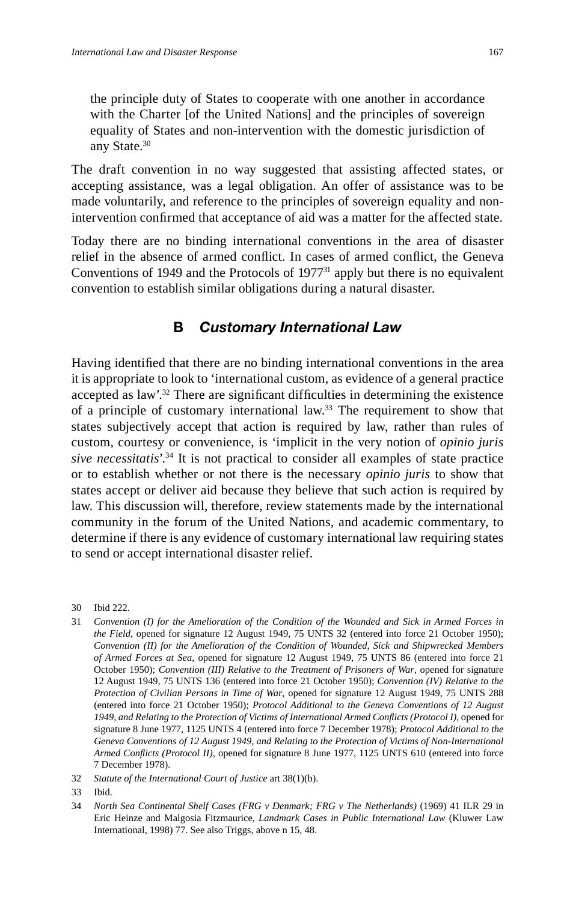the principle duty of States to cooperate with one another in accordance with the Charter [of the United Nations] and the principles of sovereign equality of States and non-intervention with the domestic jurisdiction of any State.<sup>30</sup>

The draft convention in no way suggested that assisting affected states, or accepting assistance, was a legal obligation. An offer of assistance was to be made voluntarily, and reference to the principles of sovereign equality and nonintervention confirmed that acceptance of aid was a matter for the affected state.

Today there are no binding international conventions in the area of disaster relief in the absence of armed conflict. In cases of armed conflict, the Geneva Conventions of 1949 and the Protocols of  $1977<sup>31</sup>$  apply but there is no equivalent convention to establish similar obligations during a natural disaster.

#### **B** *Customary International Law*

Having identified that there are no binding international conventions in the area it is appropriate to look to 'international custom, as evidence of a general practice accepted as law'.<sup>32</sup> There are significant difficulties in determining the existence of a principle of customary international law.<sup>33</sup> The requirement to show that states subjectively accept that action is required by law, rather than rules of custom, courtesy or convenience, is 'implicit in the very notion of *opinio juris sive necessitatis*'.34 It is not practical to consider all examples of state practice or to establish whether or not there is the necessary *opinio juris* to show that states accept or deliver aid because they believe that such action is required by law. This discussion will, therefore, review statements made by the international community in the forum of the United Nations, and academic commentary, to determine if there is any evidence of customary international law requiring states to send or accept international disaster relief.

- 32 *Statute of the International Court of Justice* art 38(1)(b).
- 33 Ibid.

<sup>30</sup> Ibid 222.

<sup>31</sup> *Convention (I) for the Amelioration of the Condition of the Wounded and Sick in Armed Forces in the Field*, opened for signature 12 August 1949, 75 UNTS 32 (entered into force 21 October 1950); *Convention (II) for the Amelioration of the Condition of Wounded, Sick and Shipwrecked Members of Armed Forces at Sea*, opened for signature 12 August 1949, 75 UNTS 86 (entered into force 21 October 1950); *Convention (III) Relative to the Treatment of Prisoners of War*, opened for signature 12 August 1949, 75 UNTS 136 (entered into force 21 October 1950); *Convention (IV) Relative to the Protection of Civilian Persons in Time of War*, opened for signature 12 August 1949, 75 UNTS 288 (entered into force 21 October 1950); *Protocol Additional to the Geneva Conventions of 12 August*  1949, and Relating to the Protection of Victims of International Armed Conflicts (Protocol I), opened for signature 8 June 1977, 1125 UNTS 4 (entered into force 7 December 1978); *Protocol Additional to the Geneva Conventions of 12 August 1949, and Relating to the Protection of Victims of Non-International Armed Conflicts (Protocol II)*, opened for signature 8 June 1977, 1125 UNTS 610 (entered into force 7 December 1978).

<sup>34</sup> *North Sea Continental Shelf Cases (FRG v Denmark; FRG v The Netherlands)* (1969) 41 ILR 29 in Eric Heinze and Malgosia Fitzmaurice, *Landmark Cases in Public International Law* (Kluwer Law International, 1998) 77. See also Triggs, above n 15, 48.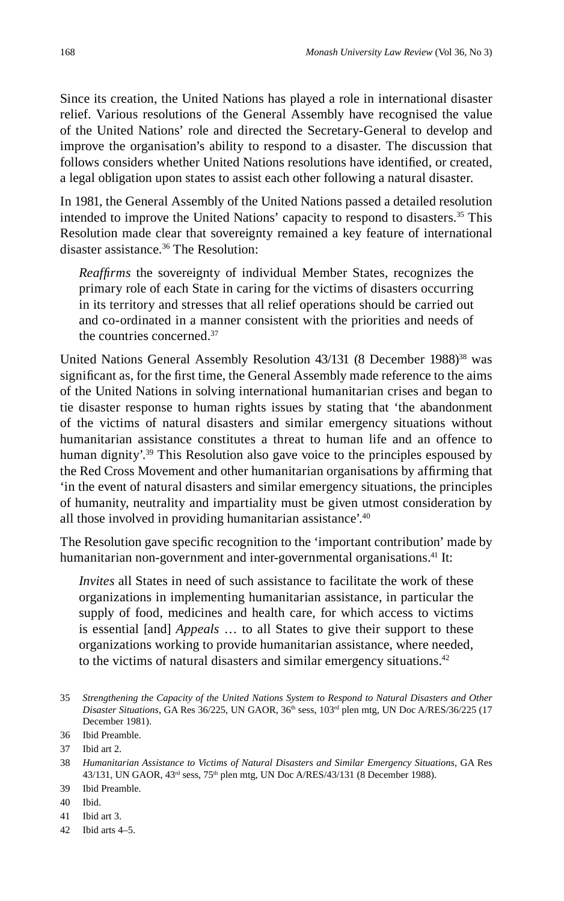Since its creation, the United Nations has played a role in international disaster relief. Various resolutions of the General Assembly have recognised the value of the United Nations' role and directed the Secretary-General to develop and improve the organisation's ability to respond to a disaster. The discussion that follows considers whether United Nations resolutions have identified, or created, a legal obligation upon states to assist each other following a natural disaster.

In 1981, the General Assembly of the United Nations passed a detailed resolution intended to improve the United Nations' capacity to respond to disasters.35 This Resolution made clear that sovereignty remained a key feature of international disaster assistance.36 The Resolution:

*Reaffi rms* the sovereignty of individual Member States, recognizes the primary role of each State in caring for the victims of disasters occurring in its territory and stresses that all relief operations should be carried out and co-ordinated in a manner consistent with the priorities and needs of the countries concerned.37

United Nations General Assembly Resolution 43/131 (8 December 1988)<sup>38</sup> was significant as, for the first time, the General Assembly made reference to the aims of the United Nations in solving international humanitarian crises and began to tie disaster response to human rights issues by stating that 'the abandonment of the victims of natural disasters and similar emergency situations without humanitarian assistance constitutes a threat to human life and an offence to human dignity'.<sup>39</sup> This Resolution also gave voice to the principles espoused by the Red Cross Movement and other humanitarian organisations by affirming that 'in the event of natural disasters and similar emergency situations, the principles of humanity, neutrality and impartiality must be given utmost consideration by all those involved in providing humanitarian assistance'.40

The Resolution gave specific recognition to the 'important contribution' made by humanitarian non-government and inter-governmental organisations.<sup>41</sup> It:

*Invites* all States in need of such assistance to facilitate the work of these organizations in implementing humanitarian assistance, in particular the supply of food, medicines and health care, for which access to victims is essential [and] *Appeals* … to all States to give their support to these organizations working to provide humanitarian assistance, where needed, to the victims of natural disasters and similar emergency situations.42

40 Ibid.

42 Ibid arts 4–5.

<sup>35</sup> *Strengthening the Capacity of the United Nations System to Respond to Natural Disasters and Other Disaster Situations*, GA Res 36/225, UN GAOR, 36th sess, 103rd plen mtg, UN Doc A/RES/36/225 (17 December 1981).

<sup>36</sup> Ibid Preamble.

<sup>37</sup> Ibid art 2.

<sup>38</sup> *Humanitarian Assistance to Victims of Natural Disasters and Similar Emergency Situations*, GA Res 43/131, UN GAOR, 43<sup>rd</sup> sess, 75<sup>th</sup> plen mtg, UN Doc A/RES/43/131 (8 December 1988).

<sup>39</sup> Ibid Preamble.

<sup>41</sup> Ibid art 3.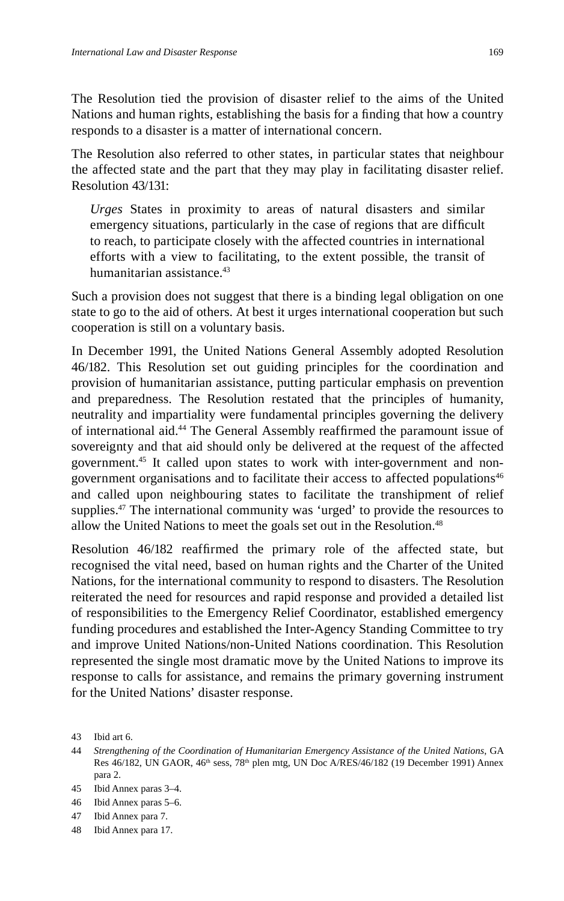The Resolution tied the provision of disaster relief to the aims of the United Nations and human rights, establishing the basis for a finding that how a country responds to a disaster is a matter of international concern.

The Resolution also referred to other states, in particular states that neighbour the affected state and the part that they may play in facilitating disaster relief. Resolution 43/131:

*Urges* States in proximity to areas of natural disasters and similar emergency situations, particularly in the case of regions that are difficult to reach, to participate closely with the affected countries in international efforts with a view to facilitating, to the extent possible, the transit of humanitarian assistance.<sup>43</sup>

Such a provision does not suggest that there is a binding legal obligation on one state to go to the aid of others. At best it urges international cooperation but such cooperation is still on a voluntary basis.

In December 1991, the United Nations General Assembly adopted Resolution 46/182. This Resolution set out guiding principles for the coordination and provision of humanitarian assistance, putting particular emphasis on prevention and preparedness. The Resolution restated that the principles of humanity, neutrality and impartiality were fundamental principles governing the delivery of international aid.<sup>44</sup> The General Assembly reaffirmed the paramount issue of sovereignty and that aid should only be delivered at the request of the affected government.45 It called upon states to work with inter-government and nongovernment organisations and to facilitate their access to affected populations<sup>46</sup> and called upon neighbouring states to facilitate the transhipment of relief supplies.<sup>47</sup> The international community was 'urged' to provide the resources to allow the United Nations to meet the goals set out in the Resolution.<sup>48</sup>

Resolution 46/182 reaffirmed the primary role of the affected state, but recognised the vital need, based on human rights and the Charter of the United Nations, for the international community to respond to disasters. The Resolution reiterated the need for resources and rapid response and provided a detailed list of responsibilities to the Emergency Relief Coordinator, established emergency funding procedures and established the Inter-Agency Standing Committee to try and improve United Nations/non-United Nations coordination. This Resolution represented the single most dramatic move by the United Nations to improve its response to calls for assistance, and remains the primary governing instrument for the United Nations' disaster response.

<sup>43</sup> Ibid art 6.

<sup>44</sup> *Strengthening of the Coordination of Humanitarian Emergency Assistance of the United Nations*, GA Res 46/182, UN GAOR,  $46<sup>th</sup>$  sess,  $78<sup>th</sup>$  plen mtg, UN Doc A/RES/46/182 (19 December 1991) Annex para 2.

<sup>45</sup> Ibid Annex paras 3–4.

<sup>46</sup> Ibid Annex paras 5–6.

<sup>47</sup> Ibid Annex para 7.

<sup>48</sup> Ibid Annex para 17.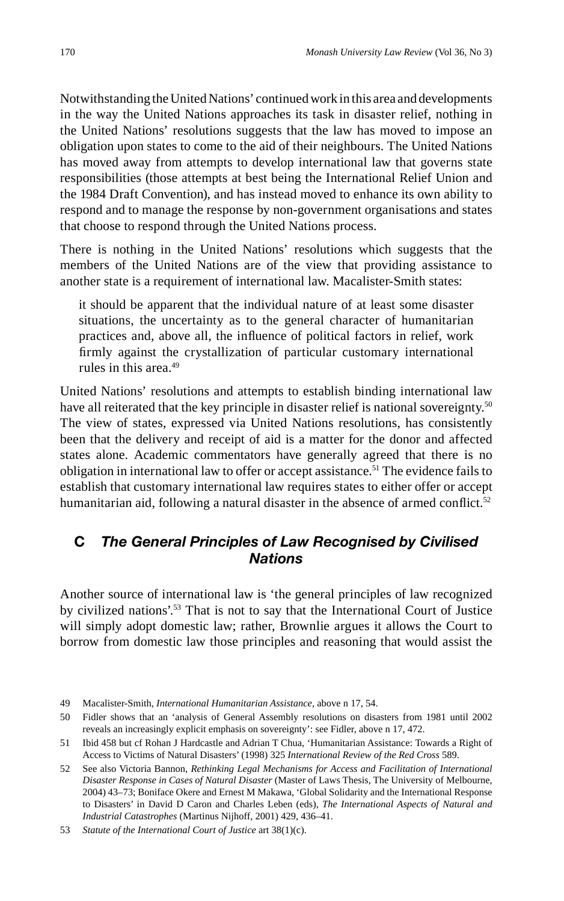Notwithstanding the United Nations' continued work in this area and developments in the way the United Nations approaches its task in disaster relief, nothing in the United Nations' resolutions suggests that the law has moved to impose an obligation upon states to come to the aid of their neighbours. The United Nations has moved away from attempts to develop international law that governs state responsibilities (those attempts at best being the International Relief Union and the 1984 Draft Convention), and has instead moved to enhance its own ability to respond and to manage the response by non-government organisations and states that choose to respond through the United Nations process.

There is nothing in the United Nations' resolutions which suggests that the members of the United Nations are of the view that providing assistance to another state is a requirement of international law. Macalister-Smith states:

it should be apparent that the individual nature of at least some disaster situations, the uncertainty as to the general character of humanitarian practices and, above all, the influence of political factors in relief, work firmly against the crystallization of particular customary international rules in this area.49

United Nations' resolutions and attempts to establish binding international law have all reiterated that the key principle in disaster relief is national sovereignty.<sup>50</sup> The view of states, expressed via United Nations resolutions, has consistently been that the delivery and receipt of aid is a matter for the donor and affected states alone. Academic commentators have generally agreed that there is no obligation in international law to offer or accept assistance.<sup>51</sup> The evidence fails to establish that customary international law requires states to either offer or accept humanitarian aid, following a natural disaster in the absence of armed conflict.<sup>52</sup>

#### **C** *The General Principles of Law Recognised by Civilised Nations*

Another source of international law is 'the general principles of law recognized by civilized nations'.<sup>53</sup> That is not to say that the International Court of Justice will simply adopt domestic law; rather, Brownlie argues it allows the Court to borrow from domestic law those principles and reasoning that would assist the

<sup>49</sup> Macalister-Smith, *International Humanitarian Assistance*, above n 17, 54.

<sup>50</sup> Fidler shows that an 'analysis of General Assembly resolutions on disasters from 1981 until 2002 reveals an increasingly explicit emphasis on sovereignty': see Fidler, above n 17, 472.

<sup>51</sup> Ibid 458 but cf Rohan J Hardcastle and Adrian T Chua, 'Humanitarian Assistance: Towards a Right of Access to Victims of Natural Disasters' (1998) 325 *International Review of the Red Cross* 589.

<sup>52</sup> See also Victoria Bannon, *Rethinking Legal Mechanisms for Access and Facilitation of International Disaster Response in Cases of Natural Disaster* (Master of Laws Thesis, The University of Melbourne, 2004) 43–73; Boniface Okere and Ernest M Makawa, 'Global Solidarity and the International Response to Disasters' in David D Caron and Charles Leben (eds), *The International Aspects of Natural and Industrial Catastrophes* (Martinus Nijhoff, 2001) 429, 436–41.

<sup>53</sup> *Statute of the International Court of Justice* art 38(1)(c).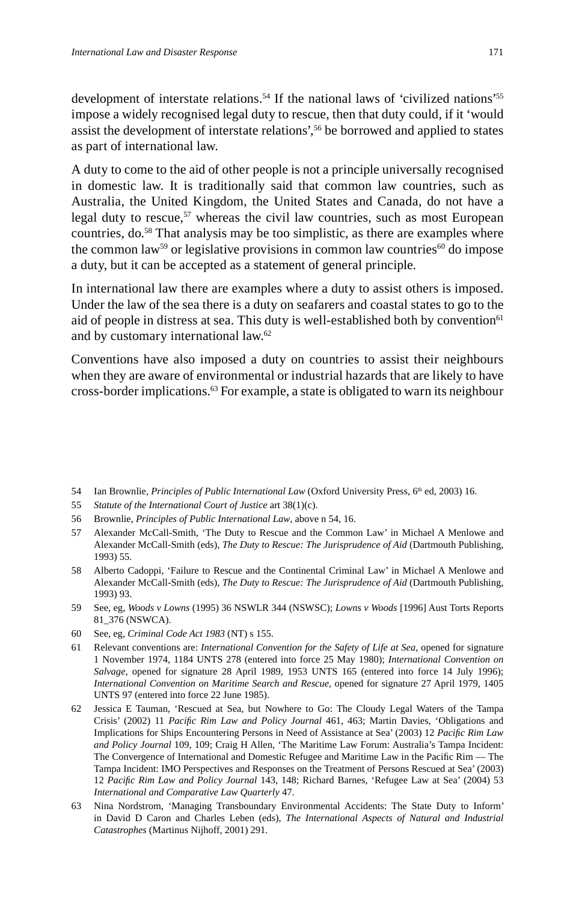development of interstate relations.<sup>54</sup> If the national laws of 'civilized nations'<sup>55</sup> impose a widely recognised legal duty to rescue, then that duty could, if it 'would assist the development of interstate relations',56 be borrowed and applied to states as part of international law.

A duty to come to the aid of other people is not a principle universally recognised in domestic law. It is traditionally said that common law countries, such as Australia, the United Kingdom, the United States and Canada, do not have a legal duty to rescue,<sup>57</sup> whereas the civil law countries, such as most European countries, do.<sup>58</sup> That analysis may be too simplistic, as there are examples where the common law<sup>59</sup> or legislative provisions in common law countries<sup>60</sup> do impose a duty, but it can be accepted as a statement of general principle.

In international law there are examples where a duty to assist others is imposed. Under the law of the sea there is a duty on seafarers and coastal states to go to the aid of people in distress at sea. This duty is well-established both by convention<sup>61</sup> and by customary international law.62

Conventions have also imposed a duty on countries to assist their neighbours when they are aware of environmental or industrial hazards that are likely to have cross-border implications.63 For example, a state is obligated to warn its neighbour

- 54 Ian Brownlie, *Principles of Public International Law* (Oxford University Press, 6<sup>th</sup> ed, 2003) 16.
- 55 *Statute of the International Court of Justice* art 38(1)(c).
- 56 Brownlie, *Principles of Public International Law*, above n 54, 16.
- 57 Alexander McCall-Smith, 'The Duty to Rescue and the Common Law' in Michael A Menlowe and Alexander McCall-Smith (eds), *The Duty to Rescue: The Jurisprudence of Aid* (Dartmouth Publishing, 1993) 55.
- 58 Alberto Cadoppi, 'Failure to Rescue and the Continental Criminal Law' in Michael A Menlowe and Alexander McCall-Smith (eds), *The Duty to Rescue: The Jurisprudence of Aid* (Dartmouth Publishing, 1993) 93.
- 59 See, eg, *Woods v Lowns* (1995) 36 NSWLR 344 (NSWSC); *Lowns v Woods* [1996] Aust Torts Reports 81\_376 (NSWCA).
- 60 See, eg, *Criminal Code Act 1983* (NT) s 155.
- 61 Relevant conventions are: *International Convention for the Safety of Life at Sea*, opened for signature 1 November 1974, 1184 UNTS 278 (entered into force 25 May 1980); *International Convention on Salvage*, opened for signature 28 April 1989, 1953 UNTS 165 (entered into force 14 July 1996); *International Convention on Maritime Search and Rescue*, opened for signature 27 April 1979, 1405 UNTS 97 (entered into force 22 June 1985).
- 62 Jessica E Tauman, 'Rescued at Sea, but Nowhere to Go: The Cloudy Legal Waters of the Tampa Crisis' (2002) 11 *Pacifi c Rim Law and Policy Journal* 461, 463; Martin Davies, 'Obligations and Implications for Ships Encountering Persons in Need of Assistance at Sea' (2003) 12 *Pacifi c Rim Law and Policy Journal* 109, 109; Craig H Allen, 'The Maritime Law Forum: Australia's Tampa Incident: The Convergence of International and Domestic Refugee and Maritime Law in the Pacific Rim — The Tampa Incident: IMO Perspectives and Responses on the Treatment of Persons Rescued at Sea' (2003) 12 *Pacifi c Rim Law and Policy Journal* 143, 148; Richard Barnes, 'Refugee Law at Sea' (2004) 53 *International and Comparative Law Quarterly* 47.
- 63 Nina Nordstrom, 'Managing Transboundary Environmental Accidents: The State Duty to Inform' in David D Caron and Charles Leben (eds), *The International Aspects of Natural and Industrial Catastrophes* (Martinus Nijhoff, 2001) 291.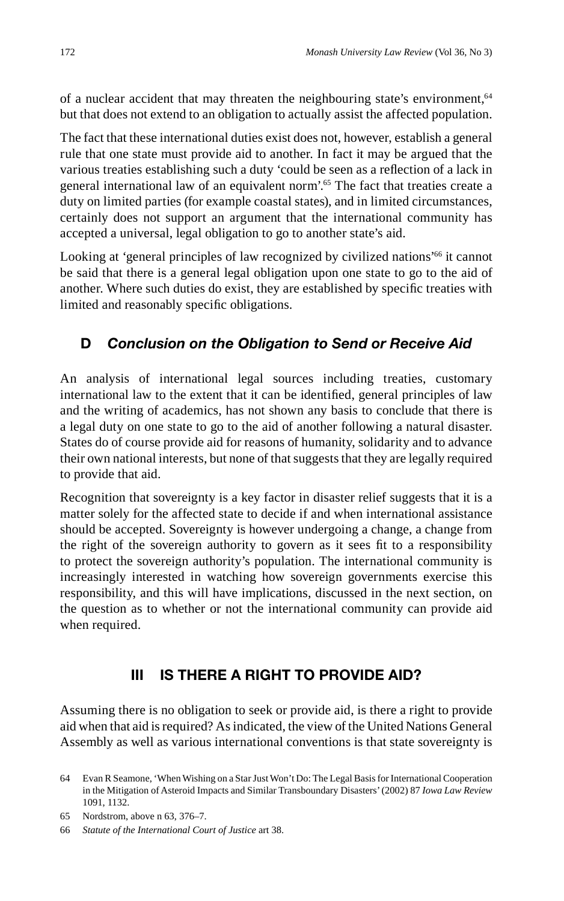of a nuclear accident that may threaten the neighbouring state's environment,<sup>64</sup> but that does not extend to an obligation to actually assist the affected population.

The fact that these international duties exist does not, however, establish a general rule that one state must provide aid to another. In fact it may be argued that the various treaties establishing such a duty 'could be seen as a reflection of a lack in general international law of an equivalent norm'.65 The fact that treaties create a duty on limited parties (for example coastal states), and in limited circumstances, certainly does not support an argument that the international community has accepted a universal, legal obligation to go to another state's aid.

Looking at 'general principles of law recognized by civilized nations<sup>'66</sup> it cannot be said that there is a general legal obligation upon one state to go to the aid of another. Where such duties do exist, they are established by specific treaties with limited and reasonably specific obligations.

# **D** *Conclusion on the Obligation to Send or Receive Aid*

An analysis of international legal sources including treaties, customary international law to the extent that it can be identified, general principles of law and the writing of academics, has not shown any basis to conclude that there is a legal duty on one state to go to the aid of another following a natural disaster. States do of course provide aid for reasons of humanity, solidarity and to advance their own national interests, but none of that suggests that they are legally required to provide that aid.

Recognition that sovereignty is a key factor in disaster relief suggests that it is a matter solely for the affected state to decide if and when international assistance should be accepted. Sovereignty is however undergoing a change, a change from the right of the sovereign authority to govern as it sees fit to a responsibility to protect the sovereign authority's population. The international community is increasingly interested in watching how sovereign governments exercise this responsibility, and this will have implications, discussed in the next section, on the question as to whether or not the international community can provide aid when required.

## **III IS THERE A RIGHT TO PROVIDE AID?**

Assuming there is no obligation to seek or provide aid, is there a right to provide aid when that aid is required? As indicated, the view of the United Nations General Assembly as well as various international conventions is that state sovereignty is

<sup>64</sup> Evan R Seamone, 'When Wishing on a Star Just Won't Do: The Legal Basis for International Cooperation in the Mitigation of Asteroid Impacts and Similar Transboundary Disasters' (2002) 87 *Iowa Law Review* 1091, 1132.

<sup>65</sup> Nordstrom, above n 63, 376–7.

<sup>66</sup> *Statute of the International Court of Justice* art 38.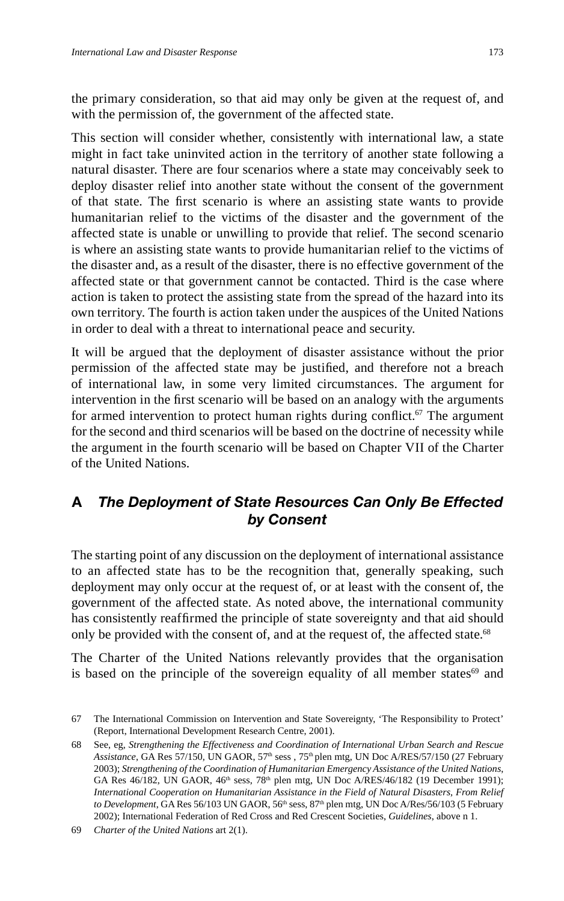the primary consideration, so that aid may only be given at the request of, and with the permission of, the government of the affected state.

This section will consider whether, consistently with international law, a state might in fact take uninvited action in the territory of another state following a natural disaster. There are four scenarios where a state may conceivably seek to deploy disaster relief into another state without the consent of the government of that state. The first scenario is where an assisting state wants to provide humanitarian relief to the victims of the disaster and the government of the affected state is unable or unwilling to provide that relief. The second scenario is where an assisting state wants to provide humanitarian relief to the victims of the disaster and, as a result of the disaster, there is no effective government of the affected state or that government cannot be contacted. Third is the case where action is taken to protect the assisting state from the spread of the hazard into its own territory. The fourth is action taken under the auspices of the United Nations in order to deal with a threat to international peace and security.

It will be argued that the deployment of disaster assistance without the prior permission of the affected state may be justified, and therefore not a breach of international law, in some very limited circumstances. The argument for intervention in the first scenario will be based on an analogy with the arguments for armed intervention to protect human rights during conflict.<sup>67</sup> The argument for the second and third scenarios will be based on the doctrine of necessity while the argument in the fourth scenario will be based on Chapter VII of the Charter of the United Nations.

#### **A** *The Deployment of State Resources Can Only Be Effected by Consent*

The starting point of any discussion on the deployment of international assistance to an affected state has to be the recognition that, generally speaking, such deployment may only occur at the request of, or at least with the consent of, the government of the affected state. As noted above, the international community has consistently reaffirmed the principle of state sovereignty and that aid should only be provided with the consent of, and at the request of, the affected state.<sup>68</sup>

The Charter of the United Nations relevantly provides that the organisation is based on the principle of the sovereign equality of all member states $69$  and

<sup>67</sup> The International Commission on Intervention and State Sovereignty, 'The Responsibility to Protect' (Report, International Development Research Centre, 2001).

<sup>68</sup> See, eg, *Strengthening the Effectiveness and Coordination of International Urban Search and Rescue*  Assistance, GA Res 57/150, UN GAOR, 57<sup>th</sup> sess , 75<sup>th</sup> plen mtg, UN Doc A/RES/57/150 (27 February 2003); *Strengthening of the Coordination of Humanitarian Emergency Assistance of the United Nations*, GA Res 46/182, UN GAOR, 46<sup>th</sup> sess, 78<sup>th</sup> plen mtg, UN Doc A/RES/46/182 (19 December 1991); *International Cooperation on Humanitarian Assistance in the Field of Natural Disasters, From Relief*  to Development, GA Res 56/103 UN GAOR, 56<sup>th</sup> sess, 87<sup>th</sup> plen mtg, UN Doc A/Res/56/103 (5 February 2002); International Federation of Red Cross and Red Crescent Societies, *Guidelines*, above n 1.

<sup>69</sup> *Charter of the United Nations* art 2(1).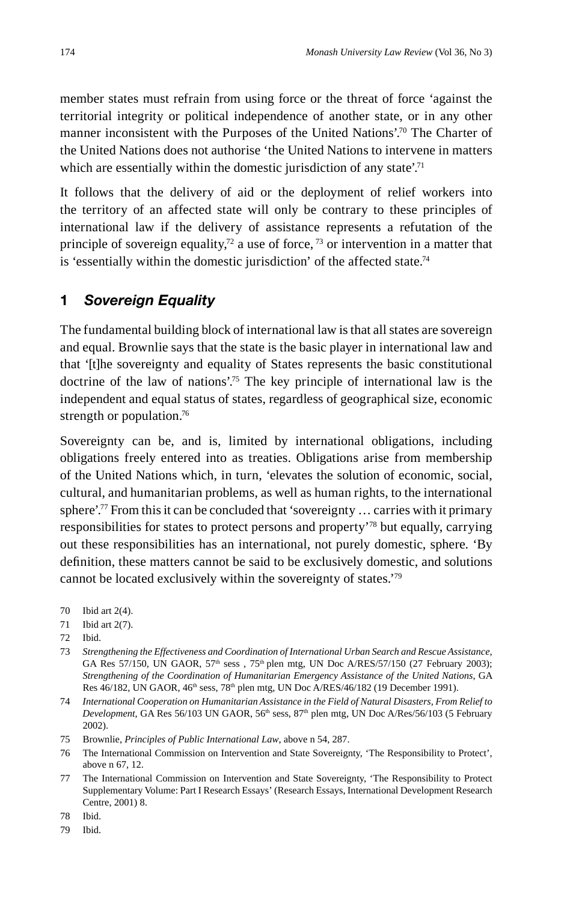member states must refrain from using force or the threat of force 'against the territorial integrity or political independence of another state, or in any other manner inconsistent with the Purposes of the United Nations'.70 The Charter of the United Nations does not authorise 'the United Nations to intervene in matters which are essentially within the domestic jurisdiction of any state.<sup>71</sup>

It follows that the delivery of aid or the deployment of relief workers into the territory of an affected state will only be contrary to these principles of international law if the delivery of assistance represents a refutation of the principle of sovereign equality,<sup>72</sup> a use of force,  $^{73}$  or intervention in a matter that is 'essentially within the domestic jurisdiction' of the affected state.<sup>74</sup>

#### **1** *Sovereign Equality*

The fundamental building block of international law is that all states are sovereign and equal. Brownlie says that the state is the basic player in international law and that '[t]he sovereignty and equality of States represents the basic constitutional doctrine of the law of nations'.75 The key principle of international law is the independent and equal status of states, regardless of geographical size, economic strength or population.<sup>76</sup>

Sovereignty can be, and is, limited by international obligations, including obligations freely entered into as treaties. Obligations arise from membership of the United Nations which, in turn, 'elevates the solution of economic, social, cultural, and humanitarian problems, as well as human rights, to the international sphere'.77 From this it can be concluded that 'sovereignty … carries with it primary responsibilities for states to protect persons and property'78 but equally, carrying out these responsibilities has an international, not purely domestic, sphere. 'By definition, these matters cannot be said to be exclusively domestic, and solutions cannot be located exclusively within the sovereignty of states.'79

70 Ibid art 2(4).

- 72 Ibid.
- 73 *Strengthening the Effectiveness and Coordination of International Urban Search and Rescue Assistance*, GA Res 57/150, UN GAOR,  $57<sup>th</sup>$  sess,  $75<sup>th</sup>$  plen mtg, UN Doc A/RES/57/150 (27 February 2003); *Strengthening of the Coordination of Humanitarian Emergency Assistance of the United Nations*, GA Res  $46/182$ , UN GAOR,  $46<sup>th</sup>$  sess,  $78<sup>th</sup>$  plen mtg, UN Doc A/RES/46/182 (19 December 1991).
- 74 *International Cooperation on Humanitarian Assistance in the Field of Natural Disasters, From Relief to Development*, GA Res 56/103 UN GAOR, 56th sess, 87th plen mtg, UN Doc A/Res/56/103 (5 February 2002).
- 75 Brownlie, *Principles of Public International Law*, above n 54, 287.
- 76 The International Commission on Intervention and State Sovereignty, 'The Responsibility to Protect', above n 67, 12.
- 77 The International Commission on Intervention and State Sovereignty, 'The Responsibility to Protect Supplementary Volume: Part I Research Essays' (Research Essays, International Development Research Centre, 2001) 8.

78 Ibid.

79 Ibid.

<sup>71</sup> Ibid art 2(7).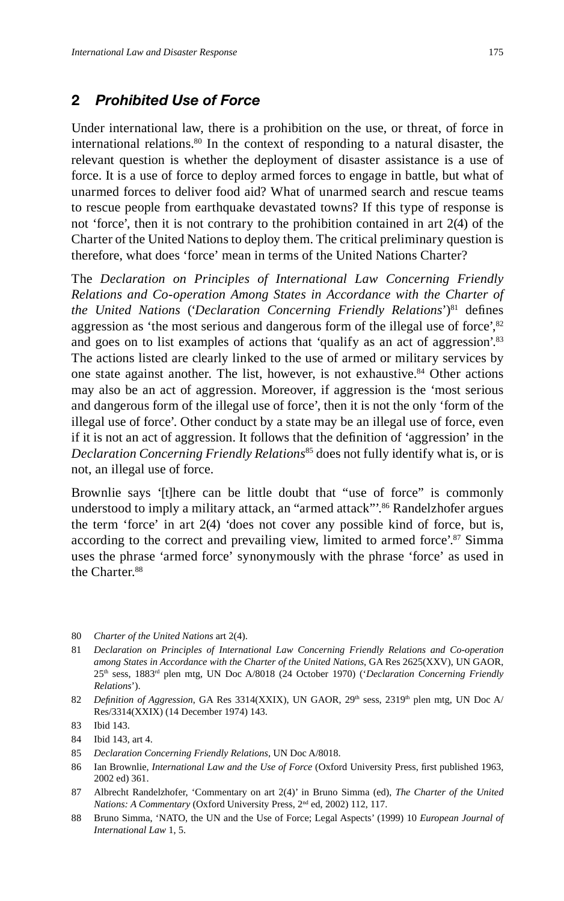#### **2** *Prohibited Use of Force*

Under international law, there is a prohibition on the use, or threat, of force in international relations.80 In the context of responding to a natural disaster, the relevant question is whether the deployment of disaster assistance is a use of force. It is a use of force to deploy armed forces to engage in battle, but what of unarmed forces to deliver food aid? What of unarmed search and rescue teams to rescue people from earthquake devastated towns? If this type of response is not 'force', then it is not contrary to the prohibition contained in art 2(4) of the Charter of the United Nations to deploy them. The critical preliminary question is therefore, what does 'force' mean in terms of the United Nations Charter?

The *Declaration on Principles of International Law Concerning Friendly Relations and Co-operation Among States in Accordance with the Charter of the United Nations* ('*Declaration Concerning Friendly Relations*')<sup>81</sup> defines aggression as 'the most serious and dangerous form of the illegal use of force', $82$ and goes on to list examples of actions that 'qualify as an act of aggression'.<sup>83</sup> The actions listed are clearly linked to the use of armed or military services by one state against another. The list, however, is not exhaustive.<sup>84</sup> Other actions may also be an act of aggression. Moreover, if aggression is the 'most serious and dangerous form of the illegal use of force', then it is not the only 'form of the illegal use of force'. Other conduct by a state may be an illegal use of force, even if it is not an act of aggression. It follows that the definition of 'aggression' in the *Declaration Concerning Friendly Relations*<sup>85</sup> does not fully identify what is, or is not, an illegal use of force.

Brownlie says '[t]here can be little doubt that "use of force" is commonly understood to imply a military attack, an "armed attack"<sup>86</sup> Randelzhofer argues the term 'force' in art 2(4) 'does not cover any possible kind of force, but is, according to the correct and prevailing view, limited to armed force'.<sup>87</sup> Simma uses the phrase 'armed force' synonymously with the phrase 'force' as used in the Charter.<sup>88</sup>

- 80 *Charter of the United Nations* art 2(4).
- 81 *Declaration on Principles of International Law Concerning Friendly Relations and Co-operation among States in Accordance with the Charter of the United Nations*, GA Res 2625(XXV), UN GAOR, 25th sess, 1883rd plen mtg, UN Doc A/8018 (24 October 1970) ('*Declaration Concerning Friendly Relations*').
- 82 *Definition of Aggression*, GA Res 3314(XXIX), UN GAOR, 29<sup>th</sup> sess, 2319<sup>th</sup> plen mtg, UN Doc A/ Res/3314(XXIX) (14 December 1974) 143.

86 Ian Brownlie, *International Law and the Use of Force* (Oxford University Press, first published 1963, 2002 ed) 361.

<sup>83</sup> Ibid 143.

<sup>84</sup> Ibid 143, art 4.

<sup>85</sup> *Declaration Concerning Friendly Relations*, UN Doc A/8018.

<sup>87</sup> Albrecht Randelzhofer, 'Commentary on art 2(4)' in Bruno Simma (ed), *The Charter of the United Nations: A Commentary* (Oxford University Press, 2nd ed, 2002) 112, 117.

<sup>88</sup> Bruno Simma, 'NATO, the UN and the Use of Force; Legal Aspects' (1999) 10 *European Journal of International Law* 1, 5.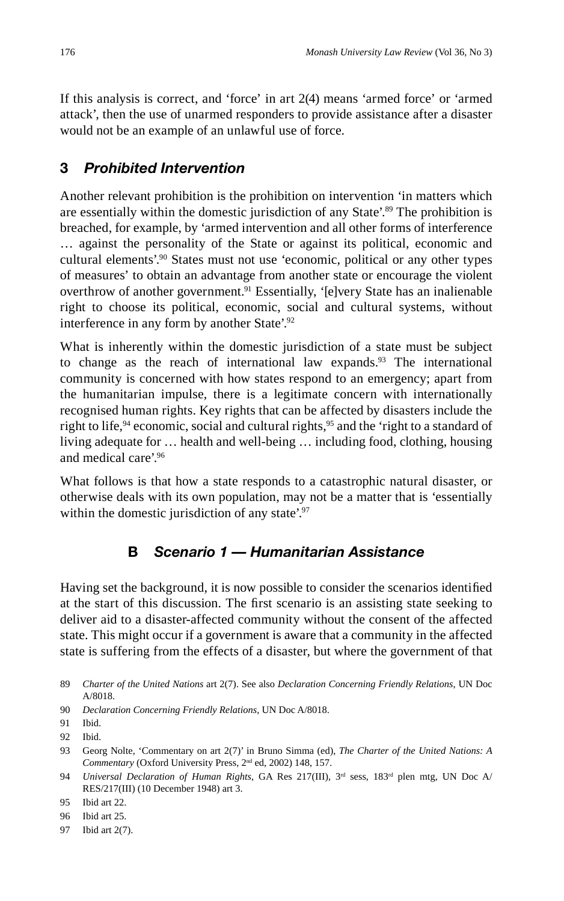If this analysis is correct, and 'force' in art 2(4) means 'armed force' or 'armed attack', then the use of unarmed responders to provide assistance after a disaster would not be an example of an unlawful use of force.

# **3** *Prohibited Intervention*

Another relevant prohibition is the prohibition on intervention 'in matters which are essentially within the domestic jurisdiction of any State'.<sup>89</sup> The prohibition is breached, for example, by 'armed intervention and all other forms of interference … against the personality of the State or against its political, economic and cultural elements'.<sup>90</sup> States must not use 'economic, political or any other types of measures' to obtain an advantage from another state or encourage the violent overthrow of another government.<sup>91</sup> Essentially, '[e]very State has an inalienable right to choose its political, economic, social and cultural systems, without interference in any form by another State'.92

What is inherently within the domestic jurisdiction of a state must be subject to change as the reach of international law expands. $93$  The international community is concerned with how states respond to an emergency; apart from the humanitarian impulse, there is a legitimate concern with internationally recognised human rights. Key rights that can be affected by disasters include the right to life,<sup>94</sup> economic, social and cultural rights,<sup>95</sup> and the 'right to a standard of living adequate for … health and well-being … including food, clothing, housing and medical care'.96

What follows is that how a state responds to a catastrophic natural disaster, or otherwise deals with its own population, may not be a matter that is 'essentially within the domestic jurisdiction of any state'.<sup>97</sup>

# **B** *Scenario 1 — Humanitarian Assistance*

Having set the background, it is now possible to consider the scenarios identified at the start of this discussion. The first scenario is an assisting state seeking to deliver aid to a disaster-affected community without the consent of the affected state. This might occur if a government is aware that a community in the affected state is suffering from the effects of a disaster, but where the government of that

97 Ibid art 2(7).

<sup>89</sup> *Charter of the United Nations* art 2(7). See also *Declaration Concerning Friendly Relations*, UN Doc A/8018.

<sup>90</sup> *Declaration Concerning Friendly Relations*, UN Doc A/8018.

<sup>91</sup> Ibid.

<sup>92</sup> Ibid.

<sup>93</sup> Georg Nolte, 'Commentary on art 2(7)' in Bruno Simma (ed), *The Charter of the United Nations: A Commentary* (Oxford University Press, 2nd ed, 2002) 148, 157.

<sup>94</sup> *Universal Declaration of Human Rights*, GA Res 217(III), 3rd sess, 183rd plen mtg, UN Doc A/ RES/217(III) (10 December 1948) art 3.

<sup>95</sup> Ibid art 22.

<sup>96</sup> Ibid art 25.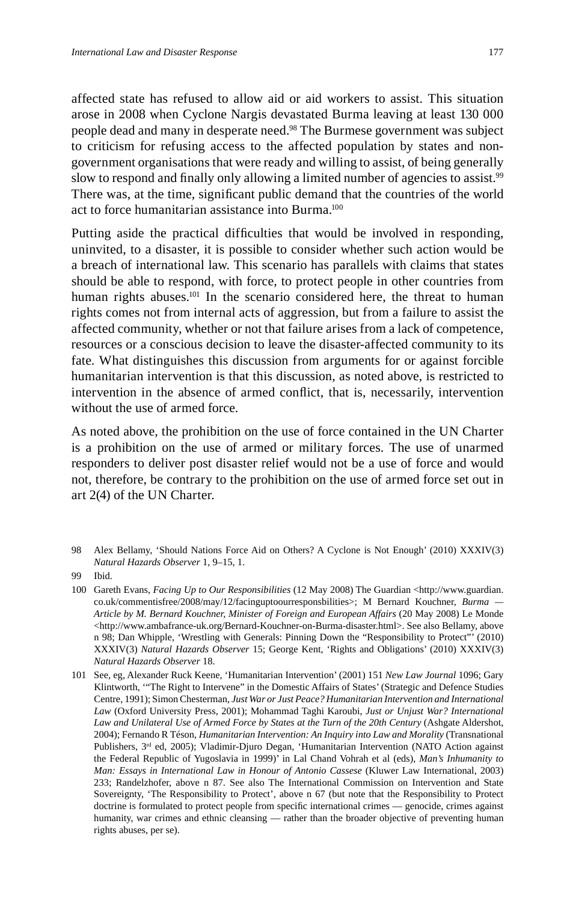affected state has refused to allow aid or aid workers to assist. This situation arose in 2008 when Cyclone Nargis devastated Burma leaving at least 130 000 people dead and many in desperate need.<sup>98</sup> The Burmese government was subject to criticism for refusing access to the affected population by states and nongovernment organisations that were ready and willing to assist, of being generally slow to respond and finally only allowing a limited number of agencies to assist.<sup>99</sup> There was, at the time, significant public demand that the countries of the world act to force humanitarian assistance into Burma.100

Putting aside the practical difficulties that would be involved in responding, uninvited, to a disaster, it is possible to consider whether such action would be a breach of international law. This scenario has parallels with claims that states should be able to respond, with force, to protect people in other countries from human rights abuses.<sup>101</sup> In the scenario considered here, the threat to human rights comes not from internal acts of aggression, but from a failure to assist the affected community, whether or not that failure arises from a lack of competence, resources or a conscious decision to leave the disaster-affected community to its fate. What distinguishes this discussion from arguments for or against forcible humanitarian intervention is that this discussion, as noted above, is restricted to intervention in the absence of armed conflict, that is, necessarily, intervention without the use of armed force.

As noted above, the prohibition on the use of force contained in the UN Charter is a prohibition on the use of armed or military forces. The use of unarmed responders to deliver post disaster relief would not be a use of force and would not, therefore, be contrary to the prohibition on the use of armed force set out in art 2(4) of the UN Charter.

98 Alex Bellamy, 'Should Nations Force Aid on Others? A Cyclone is Not Enough' (2010) XXXIV(3) *Natural Hazards Observer* 1, 9–15, 1.

<sup>99</sup> Ibid.

<sup>100</sup> Gareth Evans, *Facing Up to Our Responsibilities* (12 May 2008) The Guardian <http://www.guardian. co.uk/commentisfree/2008/may/12/facinguptoourresponsbilities>; M Bernard Kouchner, *Burma — Article by M. Bernard Kouchner, Minister of Foreign and European Affairs* (20 May 2008) Le Monde <http://www.ambafrance-uk.org/Bernard-Kouchner-on-Burma-disaster.html>. See also Bellamy, above n 98; Dan Whipple, 'Wrestling with Generals: Pinning Down the "Responsibility to Protect"' (2010) XXXIV(3) *Natural Hazards Observer* 15; George Kent, 'Rights and Obligations' (2010) XXXIV(3) *Natural Hazards Observer* 18.

<sup>101</sup> See, eg, Alexander Ruck Keene, 'Humanitarian Intervention' (2001) 151 *New Law Journal* 1096; Gary Klintworth, '"The Right to Intervene" in the Domestic Affairs of States' (Strategic and Defence Studies Centre, 1991); Simon Chesterman, *Just War or Just Peace? Humanitarian Intervention and International Law* (Oxford University Press, 2001); Mohammad Taghi Karoubi, *Just or Unjust War? International Law and Unilateral Use of Armed Force by States at the Turn of the 20th Century* (Ashgate Aldershot, 2004); Fernando R Téson, *Humanitarian Intervention: An Inquiry into Law and Morality* (Transnational Publishers, 3<sup>rd</sup> ed, 2005); Vladimir-Djuro Degan, 'Humanitarian Intervention (NATO Action against the Federal Republic of Yugoslavia in 1999)' in Lal Chand Vohrah et al (eds), *Man's Inhumanity to Man: Essays in International Law in Honour of Antonio Cassese* (Kluwer Law International, 2003) 233; Randelzhofer, above n 87. See also The International Commission on Intervention and State Sovereignty, 'The Responsibility to Protect', above n 67 (but note that the Responsibility to Protect doctrine is formulated to protect people from specific international crimes — genocide, crimes against humanity, war crimes and ethnic cleansing — rather than the broader objective of preventing human rights abuses, per se).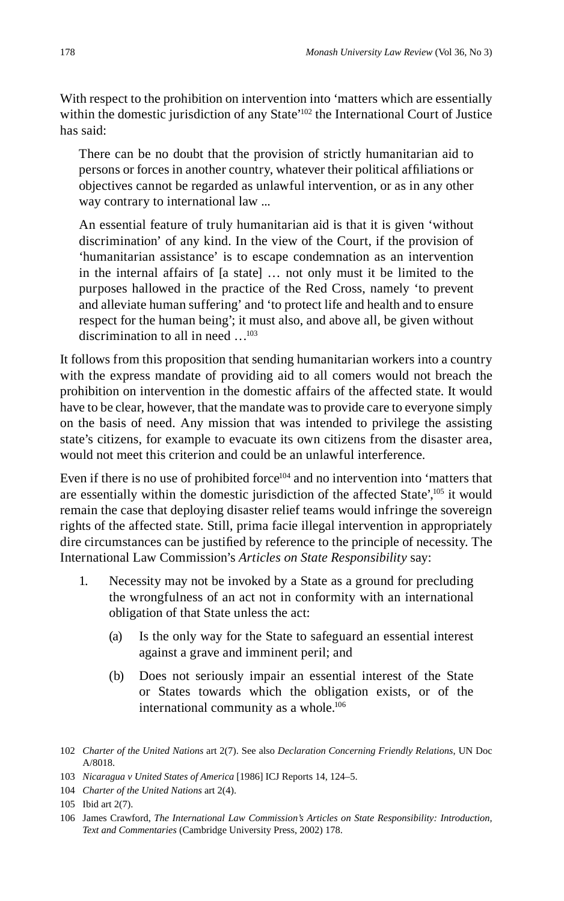With respect to the prohibition on intervention into 'matters which are essentially within the domestic jurisdiction of any State'<sup>102</sup> the International Court of Justice has said:

There can be no doubt that the provision of strictly humanitarian aid to persons or forces in another country, whatever their political affiliations or objectives cannot be regarded as unlawful intervention, or as in any other way contrary to international law ...

An essential feature of truly humanitarian aid is that it is given 'without discrimination' of any kind. In the view of the Court, if the provision of 'humanitarian assistance' is to escape condemnation as an intervention in the internal affairs of [a state] … not only must it be limited to the purposes hallowed in the practice of the Red Cross, namely 'to prevent and alleviate human suffering' and 'to protect life and health and to ensure respect for the human being'; it must also, and above all, be given without discrimination to all in need …103

It follows from this proposition that sending humanitarian workers into a country with the express mandate of providing aid to all comers would not breach the prohibition on intervention in the domestic affairs of the affected state. It would have to be clear, however, that the mandate was to provide care to everyone simply on the basis of need. Any mission that was intended to privilege the assisting state's citizens, for example to evacuate its own citizens from the disaster area, would not meet this criterion and could be an unlawful interference.

Even if there is no use of prohibited force $104$  and no intervention into 'matters that are essentially within the domestic jurisdiction of the affected State',<sup>105</sup> it would remain the case that deploying disaster relief teams would infringe the sovereign rights of the affected state. Still, prima facie illegal intervention in appropriately dire circumstances can be justified by reference to the principle of necessity. The International Law Commission's *Articles on State Responsibility* say:

- 1. Necessity may not be invoked by a State as a ground for precluding the wrongfulness of an act not in conformity with an international obligation of that State unless the act:
	- (a) Is the only way for the State to safeguard an essential interest against a grave and imminent peril; and
	- (b) Does not seriously impair an essential interest of the State or States towards which the obligation exists, or of the international community as a whole.<sup>106</sup>

<sup>102</sup> *Charter of the United Nations* art 2(7). See also *Declaration Concerning Friendly Relations*, UN Doc A/8018.

<sup>103</sup> *Nicaragua v United States of America* [1986] ICJ Reports 14, 124–5.

<sup>104</sup> *Charter of the United Nations* art 2(4).

<sup>105</sup> Ibid art 2(7).

<sup>106</sup> James Crawford, *The International Law Commission's Articles on State Responsibility: Introduction, Text and Commentaries* (Cambridge University Press, 2002) 178.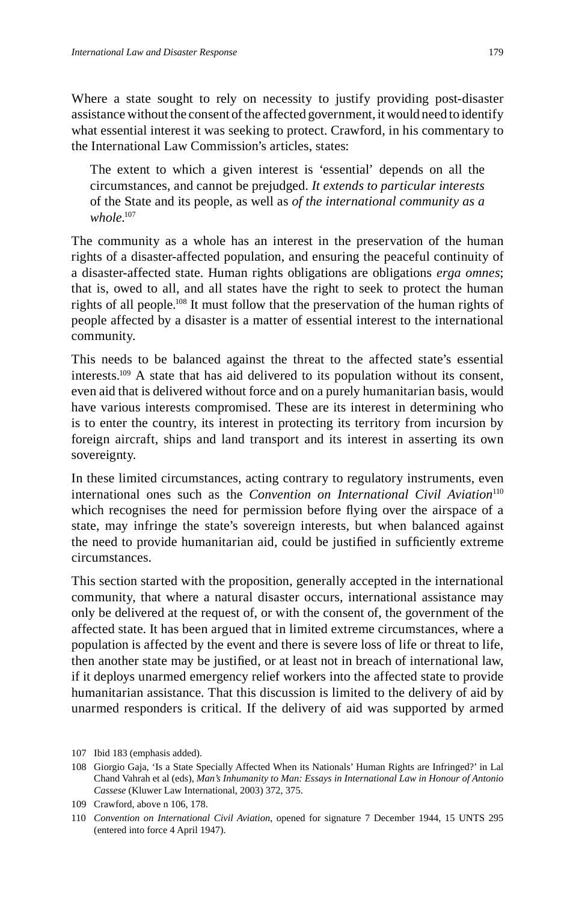Where a state sought to rely on necessity to justify providing post-disaster assistance without the consent of the affected government, it would need to identify what essential interest it was seeking to protect. Crawford, in his commentary to the International Law Commission's articles, states:

The extent to which a given interest is 'essential' depends on all the circumstances, and cannot be prejudged. *It extends to particular interests*  of the State and its people, as well as *of the international community as a whole*. 107

The community as a whole has an interest in the preservation of the human rights of a disaster-affected population, and ensuring the peaceful continuity of a disaster-affected state. Human rights obligations are obligations *erga omnes*; that is, owed to all, and all states have the right to seek to protect the human rights of all people.108 It must follow that the preservation of the human rights of people affected by a disaster is a matter of essential interest to the international community.

This needs to be balanced against the threat to the affected state's essential interests.109 A state that has aid delivered to its population without its consent, even aid that is delivered without force and on a purely humanitarian basis, would have various interests compromised. These are its interest in determining who is to enter the country, its interest in protecting its territory from incursion by foreign aircraft, ships and land transport and its interest in asserting its own sovereignty.

In these limited circumstances, acting contrary to regulatory instruments, even international ones such as the *Convention on International Civil Aviation*<sup>110</sup> which recognises the need for permission before flying over the airspace of a state, may infringe the state's sovereign interests, but when balanced against the need to provide humanitarian aid, could be justified in sufficiently extreme circumstances.

This section started with the proposition, generally accepted in the international community, that where a natural disaster occurs, international assistance may only be delivered at the request of, or with the consent of, the government of the affected state. It has been argued that in limited extreme circumstances, where a population is affected by the event and there is severe loss of life or threat to life, then another state may be justified, or at least not in breach of international law, if it deploys unarmed emergency relief workers into the affected state to provide humanitarian assistance. That this discussion is limited to the delivery of aid by unarmed responders is critical. If the delivery of aid was supported by armed

<sup>107</sup> Ibid 183 (emphasis added).

<sup>108</sup> Giorgio Gaja, 'Is a State Specially Affected When its Nationals' Human Rights are Infringed?' in Lal Chand Vahrah et al (eds), *Man's Inhumanity to Man: Essays in International Law in Honour of Antonio Cassese* (Kluwer Law International, 2003) 372, 375.

<sup>109</sup> Crawford, above n 106, 178.

<sup>110</sup> *Convention on International Civil Aviation*, opened for signature 7 December 1944, 15 UNTS 295 (entered into force 4 April 1947).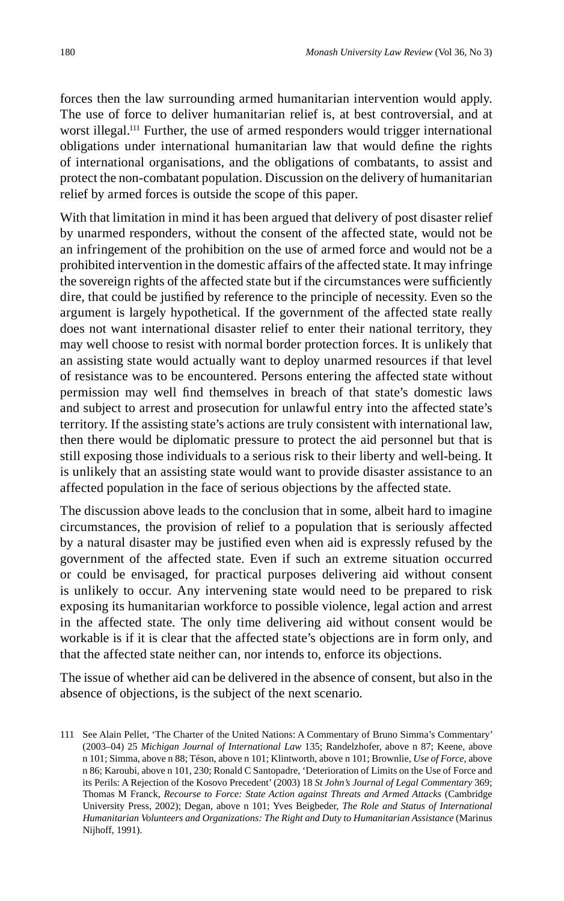forces then the law surrounding armed humanitarian intervention would apply. The use of force to deliver humanitarian relief is, at best controversial, and at worst illegal.111 Further, the use of armed responders would trigger international obligations under international humanitarian law that would define the rights of international organisations, and the obligations of combatants, to assist and protect the non-combatant population. Discussion on the delivery of humanitarian relief by armed forces is outside the scope of this paper.

With that limitation in mind it has been argued that delivery of post disaster relief by unarmed responders, without the consent of the affected state, would not be an infringement of the prohibition on the use of armed force and would not be a prohibited intervention in the domestic affairs of the affected state. It may infringe the sovereign rights of the affected state but if the circumstances were sufficiently dire, that could be justified by reference to the principle of necessity. Even so the argument is largely hypothetical. If the government of the affected state really does not want international disaster relief to enter their national territory, they may well choose to resist with normal border protection forces. It is unlikely that an assisting state would actually want to deploy unarmed resources if that level of resistance was to be encountered. Persons entering the affected state without permission may well find themselves in breach of that state's domestic laws and subject to arrest and prosecution for unlawful entry into the affected state's territory. If the assisting state's actions are truly consistent with international law, then there would be diplomatic pressure to protect the aid personnel but that is still exposing those individuals to a serious risk to their liberty and well-being. It is unlikely that an assisting state would want to provide disaster assistance to an affected population in the face of serious objections by the affected state.

The discussion above leads to the conclusion that in some, albeit hard to imagine circumstances, the provision of relief to a population that is seriously affected by a natural disaster may be justified even when aid is expressly refused by the government of the affected state. Even if such an extreme situation occurred or could be envisaged, for practical purposes delivering aid without consent is unlikely to occur. Any intervening state would need to be prepared to risk exposing its humanitarian workforce to possible violence, legal action and arrest in the affected state. The only time delivering aid without consent would be workable is if it is clear that the affected state's objections are in form only, and that the affected state neither can, nor intends to, enforce its objections.

The issue of whether aid can be delivered in the absence of consent, but also in the absence of objections, is the subject of the next scenario.

<sup>111</sup> See Alain Pellet, 'The Charter of the United Nations: A Commentary of Bruno Simma's Commentary' (2003–04) 25 *Michigan Journal of International Law* 135; Randelzhofer, above n 87; Keene, above n 101; Simma, above n 88; Téson, above n 101; Klintworth, above n 101; Brownlie, *Use of Force*, above n 86; Karoubi, above n 101, 230; Ronald C Santopadre, 'Deterioration of Limits on the Use of Force and its Perils: A Rejection of the Kosovo Precedent' (2003) 18 *St John's Journal of Legal Commentary* 369; Thomas M Franck, *Recourse to Force: State Action against Threats and Armed Attacks* (Cambridge University Press, 2002); Degan, above n 101; Yves Beigbeder, *The Role and Status of International Humanitarian Volunteers and Organizations: The Right and Duty to Humanitarian Assistance* (Marinus Nijhoff, 1991).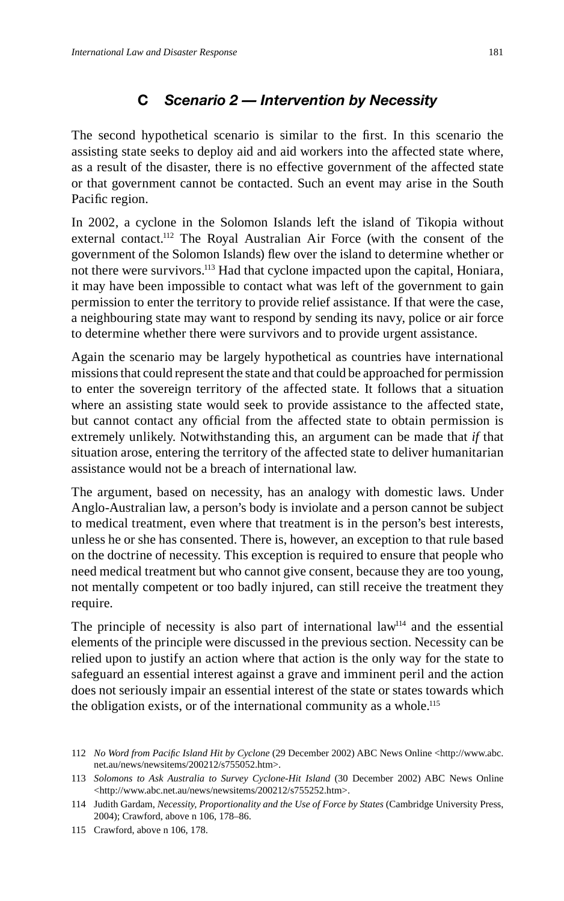# **C** *Scenario 2 — Intervention by Necessity*

The second hypothetical scenario is similar to the first. In this scenario the assisting state seeks to deploy aid and aid workers into the affected state where, as a result of the disaster, there is no effective government of the affected state or that government cannot be contacted. Such an event may arise in the South Pacific region.

In 2002, a cyclone in the Solomon Islands left the island of Tikopia without external contact.112 The Royal Australian Air Force (with the consent of the government of the Solomon Islands) flew over the island to determine whether or not there were survivors.<sup>113</sup> Had that cyclone impacted upon the capital, Honiara, it may have been impossible to contact what was left of the government to gain permission to enter the territory to provide relief assistance. If that were the case, a neighbouring state may want to respond by sending its navy, police or air force to determine whether there were survivors and to provide urgent assistance.

Again the scenario may be largely hypothetical as countries have international missions that could represent the state and that could be approached for permission to enter the sovereign territory of the affected state. It follows that a situation where an assisting state would seek to provide assistance to the affected state, but cannot contact any official from the affected state to obtain permission is extremely unlikely. Notwithstanding this, an argument can be made that *if* that situation arose, entering the territory of the affected state to deliver humanitarian assistance would not be a breach of international law.

The argument, based on necessity, has an analogy with domestic laws. Under Anglo-Australian law, a person's body is inviolate and a person cannot be subject to medical treatment, even where that treatment is in the person's best interests, unless he or she has consented. There is, however, an exception to that rule based on the doctrine of necessity. This exception is required to ensure that people who need medical treatment but who cannot give consent, because they are too young, not mentally competent or too badly injured, can still receive the treatment they require.

The principle of necessity is also part of international law $114$  and the essential elements of the principle were discussed in the previous section. Necessity can be relied upon to justify an action where that action is the only way for the state to safeguard an essential interest against a grave and imminent peril and the action does not seriously impair an essential interest of the state or states towards which the obligation exists, or of the international community as a whole.115

<sup>112</sup> *No Word from Pacifi c Island Hit by Cyclone* (29 December 2002) ABC News Online <http://www.abc. net.au/news/newsitems/200212/s755052.htm>.

<sup>113</sup> *Solomons to Ask Australia to Survey Cyclone-Hit Island* (30 December 2002) ABC News Online <http://www.abc.net.au/news/newsitems/200212/s755252.htm>.

<sup>114</sup> Judith Gardam, *Necessity, Proportionality and the Use of Force by States* (Cambridge University Press, 2004); Crawford, above n 106, 178–86.

<sup>115</sup> Crawford, above n 106, 178.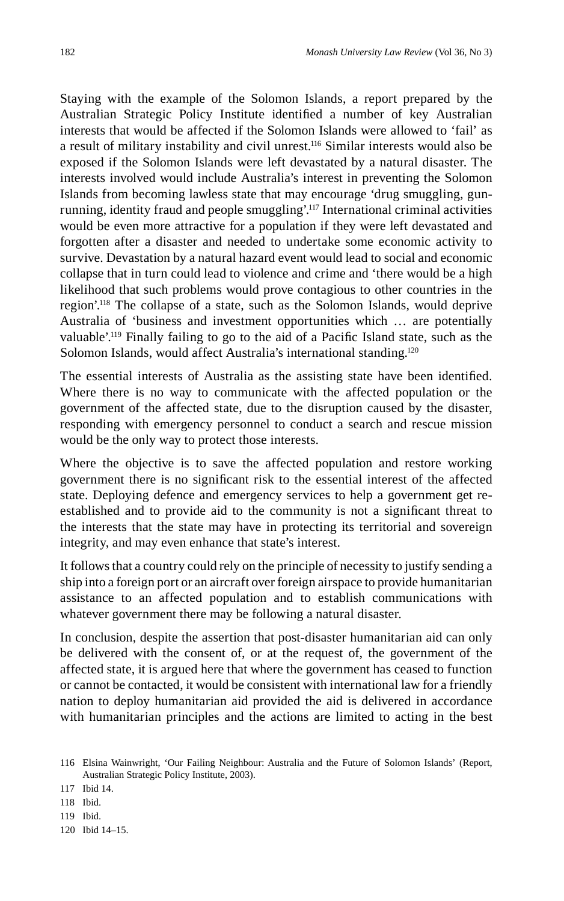Staying with the example of the Solomon Islands, a report prepared by the Australian Strategic Policy Institute identified a number of key Australian interests that would be affected if the Solomon Islands were allowed to 'fail' as a result of military instability and civil unrest.116 Similar interests would also be exposed if the Solomon Islands were left devastated by a natural disaster. The interests involved would include Australia's interest in preventing the Solomon Islands from becoming lawless state that may encourage 'drug smuggling, gunrunning, identity fraud and people smuggling'.117 International criminal activities would be even more attractive for a population if they were left devastated and forgotten after a disaster and needed to undertake some economic activity to survive. Devastation by a natural hazard event would lead to social and economic collapse that in turn could lead to violence and crime and 'there would be a high likelihood that such problems would prove contagious to other countries in the region'.118 The collapse of a state, such as the Solomon Islands, would deprive Australia of 'business and investment opportunities which … are potentially valuable'.<sup>119</sup> Finally failing to go to the aid of a Pacific Island state, such as the Solomon Islands, would affect Australia's international standing.<sup>120</sup>

The essential interests of Australia as the assisting state have been identified. Where there is no way to communicate with the affected population or the government of the affected state, due to the disruption caused by the disaster, responding with emergency personnel to conduct a search and rescue mission would be the only way to protect those interests.

Where the objective is to save the affected population and restore working government there is no significant risk to the essential interest of the affected state. Deploying defence and emergency services to help a government get reestablished and to provide aid to the community is not a significant threat to the interests that the state may have in protecting its territorial and sovereign integrity, and may even enhance that state's interest.

It follows that a country could rely on the principle of necessity to justify sending a ship into a foreign port or an aircraft over foreign airspace to provide humanitarian assistance to an affected population and to establish communications with whatever government there may be following a natural disaster.

In conclusion, despite the assertion that post-disaster humanitarian aid can only be delivered with the consent of, or at the request of, the government of the affected state, it is argued here that where the government has ceased to function or cannot be contacted, it would be consistent with international law for a friendly nation to deploy humanitarian aid provided the aid is delivered in accordance with humanitarian principles and the actions are limited to acting in the best

<sup>116</sup> Elsina Wainwright, 'Our Failing Neighbour: Australia and the Future of Solomon Islands' (Report, Australian Strategic Policy Institute, 2003).

<sup>117</sup> Ibid 14.

<sup>118</sup> Ibid.

<sup>119</sup> Ibid.

<sup>120</sup> Ibid 14–15.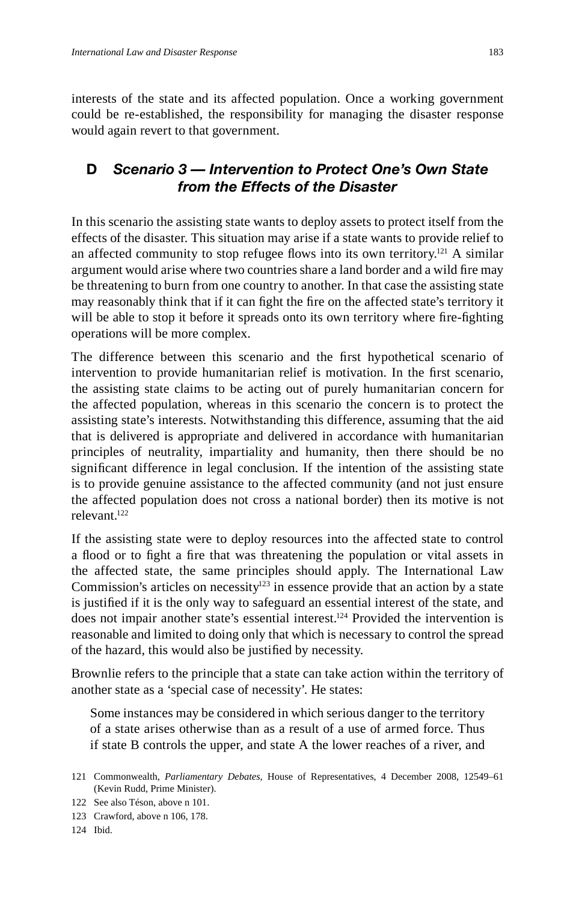interests of the state and its affected population. Once a working government could be re-established, the responsibility for managing the disaster response would again revert to that government.

## **D** *Scenario 3 — Intervention to Protect One's Own State from the Effects of the Disaster*

In this scenario the assisting state wants to deploy assets to protect itself from the effects of the disaster. This situation may arise if a state wants to provide relief to an affected community to stop refugee flows into its own territory.<sup>121</sup> A similar argument would arise where two countries share a land border and a wild fire may be threatening to burn from one country to another. In that case the assisting state may reasonably think that if it can fight the fire on the affected state's territory it will be able to stop it before it spreads onto its own territory where fire-fighting operations will be more complex.

The difference between this scenario and the first hypothetical scenario of intervention to provide humanitarian relief is motivation. In the first scenario, the assisting state claims to be acting out of purely humanitarian concern for the affected population, whereas in this scenario the concern is to protect the assisting state's interests. Notwithstanding this difference, assuming that the aid that is delivered is appropriate and delivered in accordance with humanitarian principles of neutrality, impartiality and humanity, then there should be no significant difference in legal conclusion. If the intention of the assisting state is to provide genuine assistance to the affected community (and not just ensure the affected population does not cross a national border) then its motive is not relevant.122

If the assisting state were to deploy resources into the affected state to control a flood or to fight a fire that was threatening the population or vital assets in the affected state, the same principles should apply. The International Law Commission's articles on necessity<sup>123</sup> in essence provide that an action by a state is justified if it is the only way to safeguard an essential interest of the state, and does not impair another state's essential interest.<sup>124</sup> Provided the intervention is reasonable and limited to doing only that which is necessary to control the spread of the hazard, this would also be justified by necessity.

Brownlie refers to the principle that a state can take action within the territory of another state as a 'special case of necessity'. He states:

Some instances may be considered in which serious danger to the territory of a state arises otherwise than as a result of a use of armed force. Thus if state B controls the upper, and state A the lower reaches of a river, and

<sup>121</sup> Commonwealth, *Parliamentary Debates*, House of Representatives, 4 December 2008, 12549–61 (Kevin Rudd, Prime Minister).

<sup>122</sup> See also Téson, above n 101.

<sup>123</sup> Crawford, above n 106, 178.

<sup>124</sup> Ibid.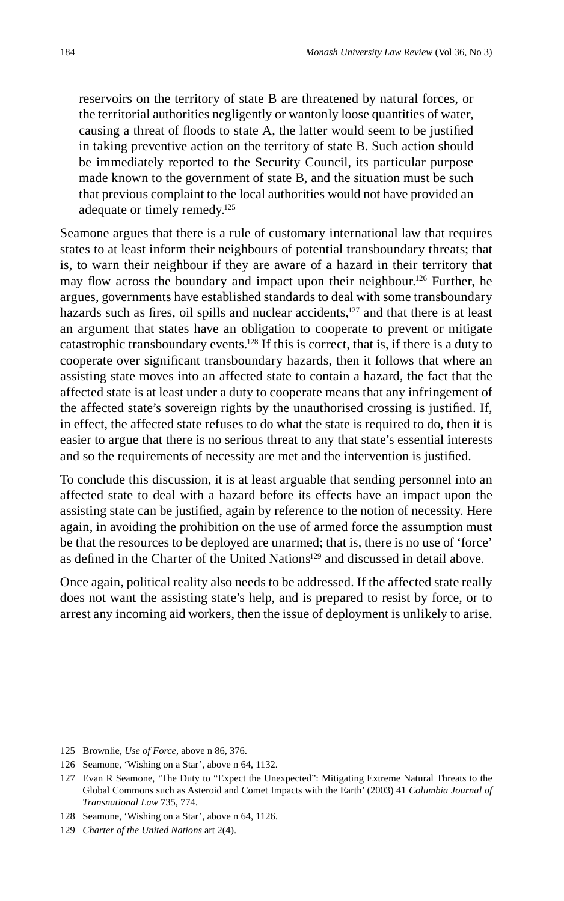reservoirs on the territory of state B are threatened by natural forces, or the territorial authorities negligently or wantonly loose quantities of water, causing a threat of floods to state A, the latter would seem to be justified in taking preventive action on the territory of state B. Such action should be immediately reported to the Security Council, its particular purpose made known to the government of state B, and the situation must be such that previous complaint to the local authorities would not have provided an adequate or timely remedy.125

Seamone argues that there is a rule of customary international law that requires states to at least inform their neighbours of potential transboundary threats; that is, to warn their neighbour if they are aware of a hazard in their territory that may flow across the boundary and impact upon their neighbour.<sup>126</sup> Further, he argues, governments have established standards to deal with some transboundary hazards such as fires, oil spills and nuclear accidents, $127$  and that there is at least an argument that states have an obligation to cooperate to prevent or mitigate catastrophic transboundary events.<sup>128</sup> If this is correct, that is, if there is a duty to cooperate over significant transboundary hazards, then it follows that where an assisting state moves into an affected state to contain a hazard, the fact that the affected state is at least under a duty to cooperate means that any infringement of the affected state's sovereign rights by the unauthorised crossing is justified. If, in effect, the affected state refuses to do what the state is required to do, then it is easier to argue that there is no serious threat to any that state's essential interests and so the requirements of necessity are met and the intervention is justified.

To conclude this discussion, it is at least arguable that sending personnel into an affected state to deal with a hazard before its effects have an impact upon the assisting state can be justified, again by reference to the notion of necessity. Here again, in avoiding the prohibition on the use of armed force the assumption must be that the resources to be deployed are unarmed; that is, there is no use of 'force' as defined in the Charter of the United Nations<sup>129</sup> and discussed in detail above.

Once again, political reality also needs to be addressed. If the affected state really does not want the assisting state's help, and is prepared to resist by force, or to arrest any incoming aid workers, then the issue of deployment is unlikely to arise.

125 Brownlie, *Use of Force*, above n 86, 376.

<sup>126</sup> Seamone, 'Wishing on a Star', above n 64, 1132.

<sup>127</sup> Evan R Seamone, 'The Duty to "Expect the Unexpected": Mitigating Extreme Natural Threats to the Global Commons such as Asteroid and Comet Impacts with the Earth' (2003) 41 *Columbia Journal of Transnational Law* 735, 774.

<sup>128</sup> Seamone, 'Wishing on a Star', above n 64, 1126.

<sup>129</sup> *Charter of the United Nations* art 2(4).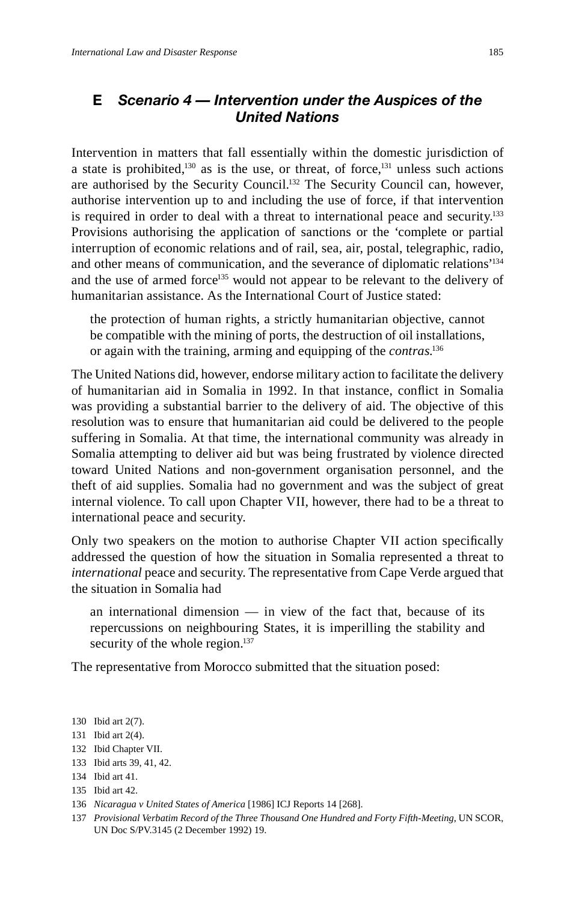## **E** *Scenario 4 — Intervention under the Auspices of the United Nations*

Intervention in matters that fall essentially within the domestic jurisdiction of a state is prohibited, $130$  as is the use, or threat, of force, $131$  unless such actions are authorised by the Security Council.<sup>132</sup> The Security Council can, however, authorise intervention up to and including the use of force, if that intervention is required in order to deal with a threat to international peace and security.133 Provisions authorising the application of sanctions or the 'complete or partial interruption of economic relations and of rail, sea, air, postal, telegraphic, radio, and other means of communication, and the severance of diplomatic relations'<sup>134</sup> and the use of armed force<sup>135</sup> would not appear to be relevant to the delivery of humanitarian assistance. As the International Court of Justice stated:

the protection of human rights, a strictly humanitarian objective, cannot be compatible with the mining of ports, the destruction of oil installations, or again with the training, arming and equipping of the *contras*. 136

The United Nations did, however, endorse military action to facilitate the delivery of humanitarian aid in Somalia in 1992. In that instance, conflict in Somalia was providing a substantial barrier to the delivery of aid. The objective of this resolution was to ensure that humanitarian aid could be delivered to the people suffering in Somalia. At that time, the international community was already in Somalia attempting to deliver aid but was being frustrated by violence directed toward United Nations and non-government organisation personnel, and the theft of aid supplies. Somalia had no government and was the subject of great internal violence. To call upon Chapter VII, however, there had to be a threat to international peace and security.

Only two speakers on the motion to authorise Chapter VII action specifically addressed the question of how the situation in Somalia represented a threat to *international* peace and security. The representative from Cape Verde argued that the situation in Somalia had

an international dimension — in view of the fact that, because of its repercussions on neighbouring States, it is imperilling the stability and security of the whole region.<sup>137</sup>

The representative from Morocco submitted that the situation posed:

<sup>130</sup> Ibid art 2(7).

<sup>131</sup> Ibid art 2(4).

<sup>132</sup> Ibid Chapter VII.

<sup>133</sup> Ibid arts 39, 41, 42.

<sup>134</sup> Ibid art 41.

<sup>135</sup> Ibid art 42.

<sup>136</sup> *Nicaragua v United States of America* [1986] ICJ Reports 14 [268].

<sup>137</sup> *Provisional Verbatim Record of the Three Thousand One Hundred and Forty Fifth-Meeting*, UN SCOR, UN Doc S/PV.3145 (2 December 1992) 19.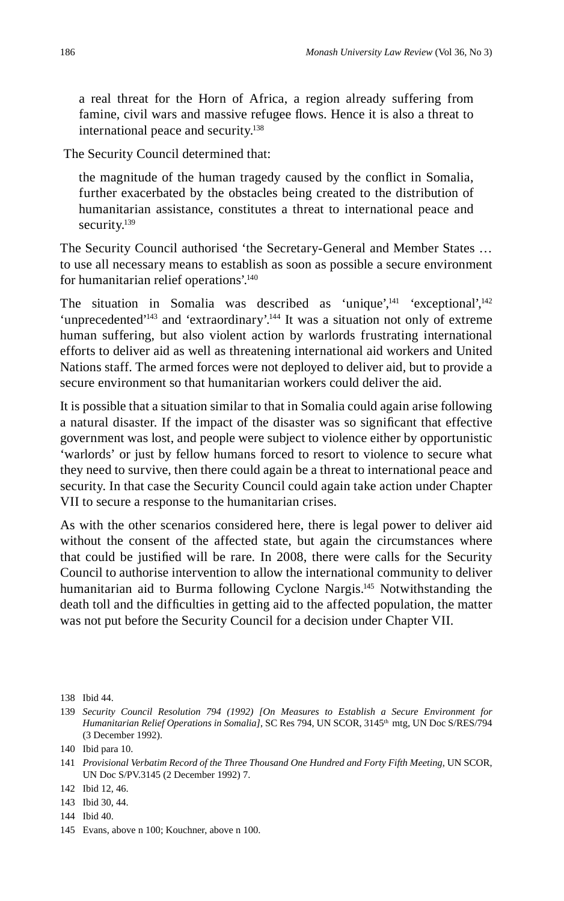a real threat for the Horn of Africa, a region already suffering from famine, civil wars and massive refugee flows. Hence it is also a threat to international peace and security.<sup>138</sup>

The Security Council determined that:

the magnitude of the human tragedy caused by the conflict in Somalia, further exacerbated by the obstacles being created to the distribution of humanitarian assistance, constitutes a threat to international peace and security.<sup>139</sup>

The Security Council authorised 'the Secretary-General and Member States … to use all necessary means to establish as soon as possible a secure environment for humanitarian relief operations'.140

The situation in Somalia was described as 'unique', $^{141}$  'exceptional', $^{142}$ 'unprecedented'143 and 'extraordinary'.144 It was a situation not only of extreme human suffering, but also violent action by warlords frustrating international efforts to deliver aid as well as threatening international aid workers and United Nations staff. The armed forces were not deployed to deliver aid, but to provide a secure environment so that humanitarian workers could deliver the aid.

It is possible that a situation similar to that in Somalia could again arise following a natural disaster. If the impact of the disaster was so significant that effective government was lost, and people were subject to violence either by opportunistic 'warlords' or just by fellow humans forced to resort to violence to secure what they need to survive, then there could again be a threat to international peace and security. In that case the Security Council could again take action under Chapter VII to secure a response to the humanitarian crises.

As with the other scenarios considered here, there is legal power to deliver aid without the consent of the affected state, but again the circumstances where that could be justified will be rare. In 2008, there were calls for the Security Council to authorise intervention to allow the international community to deliver humanitarian aid to Burma following Cyclone Nargis.<sup>145</sup> Notwithstanding the death toll and the difficulties in getting aid to the affected population, the matter was not put before the Security Council for a decision under Chapter VII.

143 Ibid 30, 44.

<sup>138</sup> Ibid 44.

<sup>139</sup> *Security Council Resolution 794 (1992) [On Measures to Establish a Secure Environment for Humanitarian Relief Operations in Somalia]*, SC Res 794, UN SCOR, 3145th mtg, UN Doc S/RES/794 (3 December 1992).

<sup>140</sup> Ibid para 10.

<sup>141</sup> *Provisional Verbatim Record of the Three Thousand One Hundred and Forty Fifth Meeting*, UN SCOR, UN Doc S/PV.3145 (2 December 1992) 7.

<sup>142</sup> Ibid 12, 46.

<sup>144</sup> Ibid 40.

<sup>145</sup> Evans, above n 100; Kouchner, above n 100.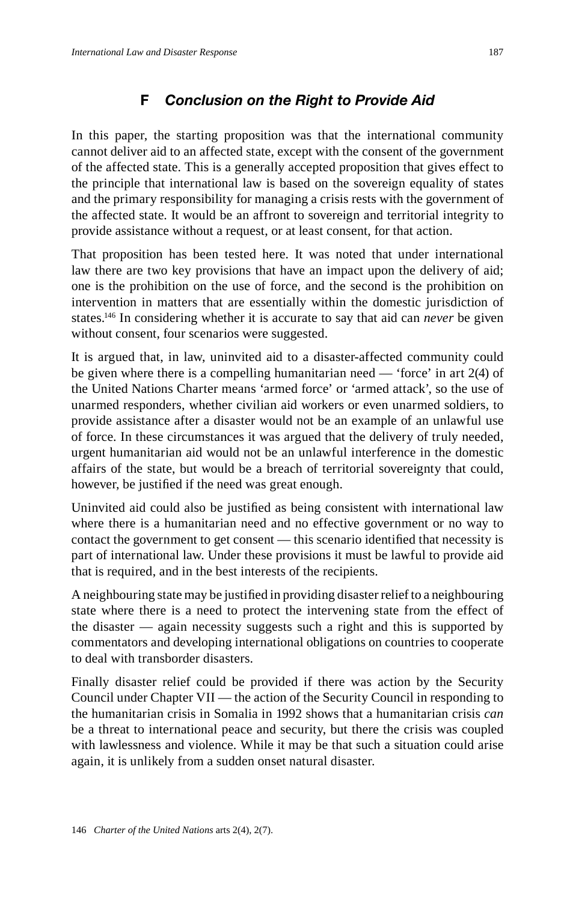# **F** *Conclusion on the Right to Provide Aid*

In this paper, the starting proposition was that the international community cannot deliver aid to an affected state, except with the consent of the government of the affected state. This is a generally accepted proposition that gives effect to the principle that international law is based on the sovereign equality of states and the primary responsibility for managing a crisis rests with the government of the affected state. It would be an affront to sovereign and territorial integrity to provide assistance without a request, or at least consent, for that action.

That proposition has been tested here. It was noted that under international law there are two key provisions that have an impact upon the delivery of aid; one is the prohibition on the use of force, and the second is the prohibition on intervention in matters that are essentially within the domestic jurisdiction of states.146 In considering whether it is accurate to say that aid can *never* be given without consent, four scenarios were suggested.

It is argued that, in law, uninvited aid to a disaster-affected community could be given where there is a compelling humanitarian need — 'force' in art 2(4) of the United Nations Charter means 'armed force' or 'armed attack', so the use of unarmed responders, whether civilian aid workers or even unarmed soldiers, to provide assistance after a disaster would not be an example of an unlawful use of force. In these circumstances it was argued that the delivery of truly needed, urgent humanitarian aid would not be an unlawful interference in the domestic affairs of the state, but would be a breach of territorial sovereignty that could, however, be justified if the need was great enough.

Uninvited aid could also be justified as being consistent with international law where there is a humanitarian need and no effective government or no way to contact the government to get consent — this scenario identified that necessity is part of international law. Under these provisions it must be lawful to provide aid that is required, and in the best interests of the recipients.

A neighbouring state may be justified in providing disaster relief to a neighbouring state where there is a need to protect the intervening state from the effect of the disaster — again necessity suggests such a right and this is supported by commentators and developing international obligations on countries to cooperate to deal with transborder disasters.

Finally disaster relief could be provided if there was action by the Security Council under Chapter VII — the action of the Security Council in responding to the humanitarian crisis in Somalia in 1992 shows that a humanitarian crisis *can* be a threat to international peace and security, but there the crisis was coupled with lawlessness and violence. While it may be that such a situation could arise again, it is unlikely from a sudden onset natural disaster.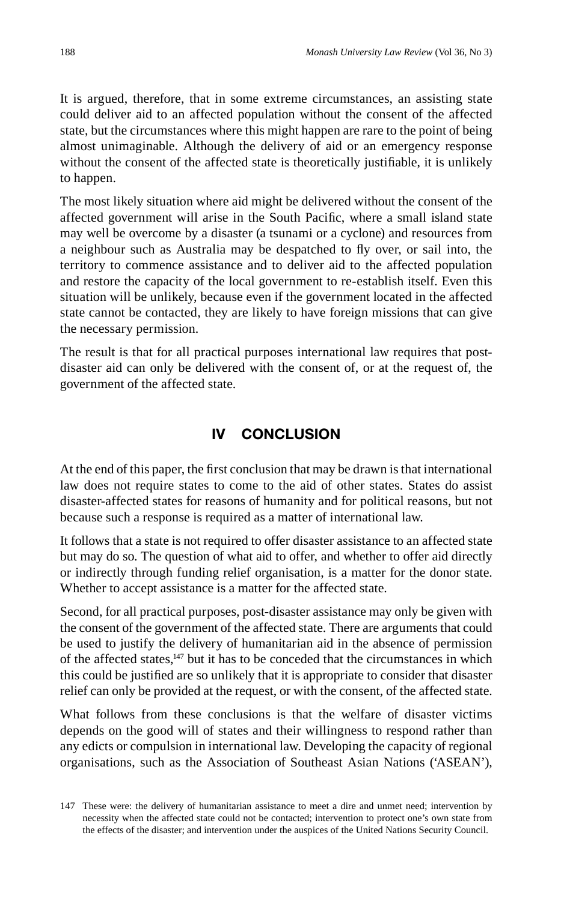It is argued, therefore, that in some extreme circumstances, an assisting state could deliver aid to an affected population without the consent of the affected state, but the circumstances where this might happen are rare to the point of being almost unimaginable. Although the delivery of aid or an emergency response without the consent of the affected state is theoretically justifiable, it is unlikely to happen.

The most likely situation where aid might be delivered without the consent of the affected government will arise in the South Pacific, where a small island state may well be overcome by a disaster (a tsunami or a cyclone) and resources from a neighbour such as Australia may be despatched to fly over, or sail into, the territory to commence assistance and to deliver aid to the affected population and restore the capacity of the local government to re-establish itself. Even this situation will be unlikely, because even if the government located in the affected state cannot be contacted, they are likely to have foreign missions that can give the necessary permission.

The result is that for all practical purposes international law requires that postdisaster aid can only be delivered with the consent of, or at the request of, the government of the affected state.

#### **IV CONCLUSION**

At the end of this paper, the first conclusion that may be drawn is that international law does not require states to come to the aid of other states. States do assist disaster-affected states for reasons of humanity and for political reasons, but not because such a response is required as a matter of international law.

It follows that a state is not required to offer disaster assistance to an affected state but may do so. The question of what aid to offer, and whether to offer aid directly or indirectly through funding relief organisation, is a matter for the donor state. Whether to accept assistance is a matter for the affected state.

Second, for all practical purposes, post-disaster assistance may only be given with the consent of the government of the affected state. There are arguments that could be used to justify the delivery of humanitarian aid in the absence of permission of the affected states, $147$  but it has to be conceded that the circumstances in which this could be justified are so unlikely that it is appropriate to consider that disaster relief can only be provided at the request, or with the consent, of the affected state.

What follows from these conclusions is that the welfare of disaster victims depends on the good will of states and their willingness to respond rather than any edicts or compulsion in international law. Developing the capacity of regional organisations, such as the Association of Southeast Asian Nations ('ASEAN'),

<sup>147</sup> These were: the delivery of humanitarian assistance to meet a dire and unmet need; intervention by necessity when the affected state could not be contacted; intervention to protect one's own state from the effects of the disaster; and intervention under the auspices of the United Nations Security Council.